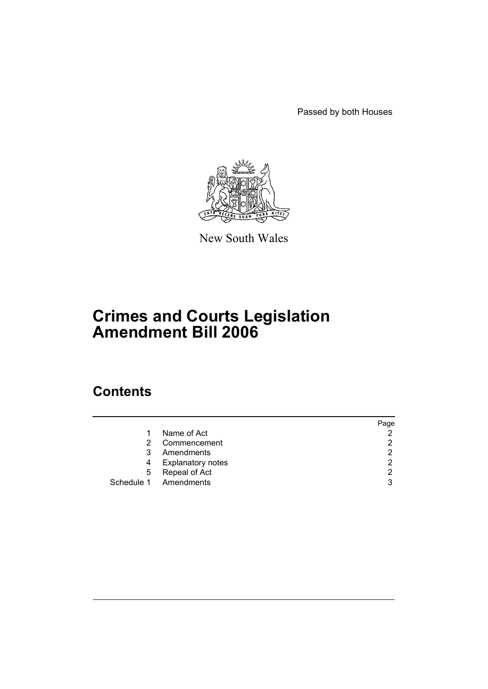Passed by both Houses



New South Wales

# **Crimes and Courts Legislation Amendment Bill 2006**

# **Contents**

|   |                          | Page          |
|---|--------------------------|---------------|
|   | Name of Act              | 2             |
| 2 | Commencement             | 2             |
| 3 | Amendments               | 2             |
| 4 | <b>Explanatory notes</b> | $\mathcal{P}$ |
| 5 | Repeal of Act            | 2             |
|   | Schedule 1 Amendments    | 3             |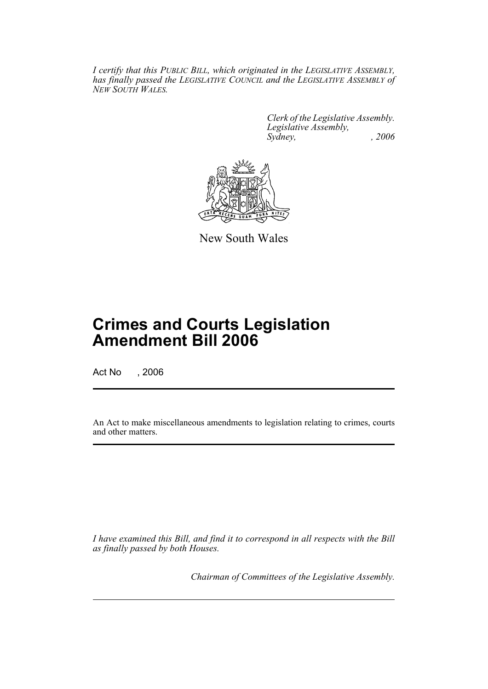*I certify that this PUBLIC BILL, which originated in the LEGISLATIVE ASSEMBLY, has finally passed the LEGISLATIVE COUNCIL and the LEGISLATIVE ASSEMBLY of NEW SOUTH WALES.*

> *Clerk of the Legislative Assembly. Legislative Assembly, Sydney, , 2006*



New South Wales

# **Crimes and Courts Legislation Amendment Bill 2006**

Act No , 2006

An Act to make miscellaneous amendments to legislation relating to crimes, courts and other matters.

*I have examined this Bill, and find it to correspond in all respects with the Bill as finally passed by both Houses.*

*Chairman of Committees of the Legislative Assembly.*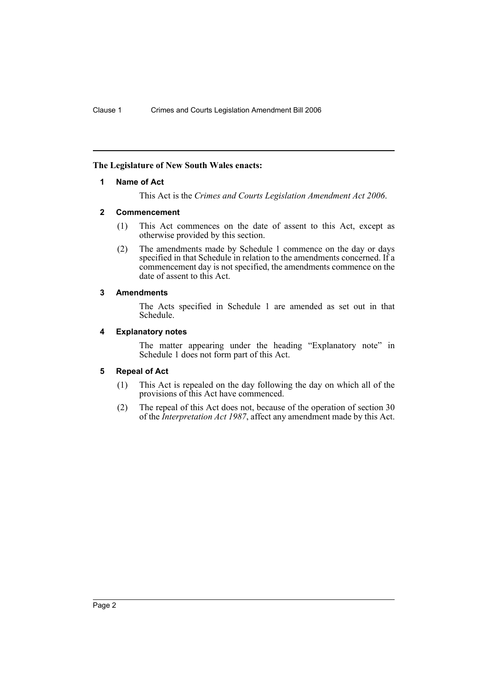### **The Legislature of New South Wales enacts:**

### **1 Name of Act**

This Act is the *Crimes and Courts Legislation Amendment Act 2006*.

### **2 Commencement**

- (1) This Act commences on the date of assent to this Act, except as otherwise provided by this section.
- (2) The amendments made by Schedule 1 commence on the day or days specified in that Schedule in relation to the amendments concerned. If a commencement day is not specified, the amendments commence on the date of assent to this Act.

### **3 Amendments**

The Acts specified in Schedule 1 are amended as set out in that Schedule.

### **4 Explanatory notes**

The matter appearing under the heading "Explanatory note" in Schedule 1 does not form part of this Act.

### **5 Repeal of Act**

- (1) This Act is repealed on the day following the day on which all of the provisions of this Act have commenced.
- (2) The repeal of this Act does not, because of the operation of section 30 of the *Interpretation Act 1987*, affect any amendment made by this Act.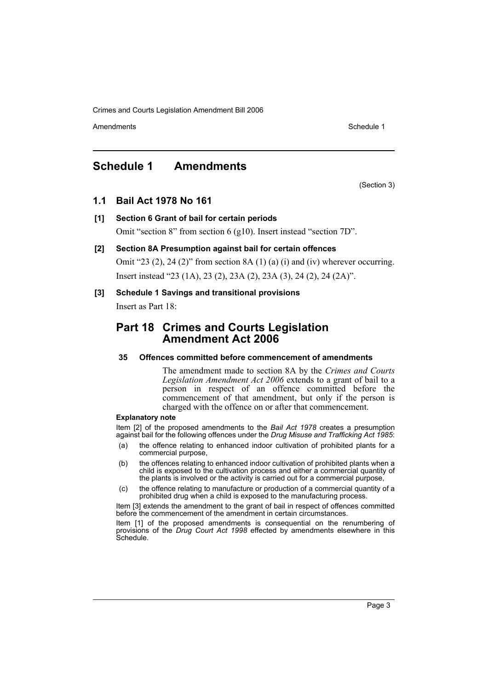Amendments **Amendments** Schedule 1

# **Schedule 1 Amendments**

(Section 3)

# **1.1 Bail Act 1978 No 161**

# **[1] Section 6 Grant of bail for certain periods** Omit "section 8" from section 6 (g10). Insert instead "section 7D".

### **[2] Section 8A Presumption against bail for certain offences**

Omit "23 (2), 24 (2)" from section 8A (1) (a) (i) and (iv) wherever occurring. Insert instead "23 (1A), 23 (2), 23A (2), 23A (3), 24 (2), 24 (2A)".

### **[3] Schedule 1 Savings and transitional provisions**

Insert as Part 18:

# **Part 18 Crimes and Courts Legislation Amendment Act 2006**

### **35 Offences committed before commencement of amendments**

The amendment made to section 8A by the *Crimes and Courts Legislation Amendment Act 2006* extends to a grant of bail to a person in respect of an offence committed before the commencement of that amendment, but only if the person is charged with the offence on or after that commencement.

### **Explanatory note**

Item [2] of the proposed amendments to the *Bail Act 1978* creates a presumption against bail for the following offences under the *Drug Misuse and Trafficking Act 1985*:

- (a) the offence relating to enhanced indoor cultivation of prohibited plants for a commercial purpose,
- (b) the offences relating to enhanced indoor cultivation of prohibited plants when a child is exposed to the cultivation process and either a commercial quantity of the plants is involved or the activity is carried out for a commercial purpose,
- (c) the offence relating to manufacture or production of a commercial quantity of a prohibited drug when a child is exposed to the manufacturing process.

Item [3] extends the amendment to the grant of bail in respect of offences committed before the commencement of the amendment in certain circumstances.

Item [1] of the proposed amendments is consequential on the renumbering of provisions of the *Drug Court Act 1998* effected by amendments elsewhere in this Schedule.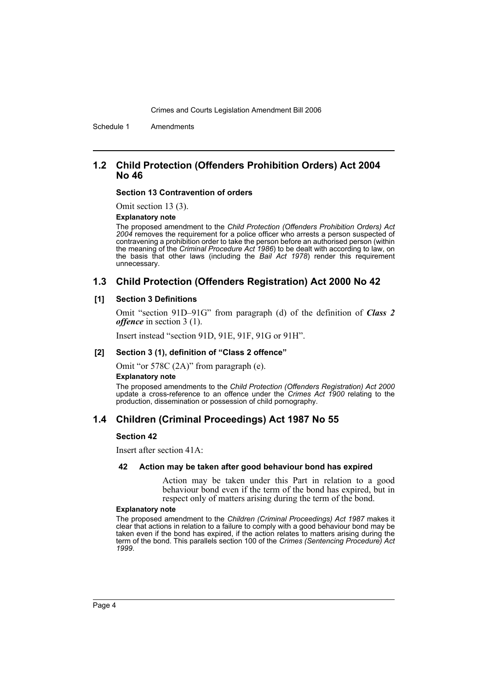Schedule 1 Amendments

### **1.2 Child Protection (Offenders Prohibition Orders) Act 2004 No 46**

#### **Section 13 Contravention of orders**

Omit section 13 (3).

#### **Explanatory note**

The proposed amendment to the *Child Protection (Offenders Prohibition Orders) Act 2004* removes the requirement for a police officer who arrests a person suspected of contravening a prohibition order to take the person before an authorised person (within the meaning of the *Criminal Procedure Act 1986*) to be dealt with according to law, on the basis that other laws (including the *Bail Act 1978*) render this requirement unnecessary.

# **1.3 Child Protection (Offenders Registration) Act 2000 No 42**

### **[1] Section 3 Definitions**

Omit "section 91D–91G" from paragraph (d) of the definition of *Class 2 offence* in section 3 (1).

Insert instead "section 91D, 91E, 91F, 91G or 91H".

#### **[2] Section 3 (1), definition of "Class 2 offence"**

Omit "or 578C (2A)" from paragraph (e).

#### **Explanatory note**

The proposed amendments to the *Child Protection (Offenders Registration) Act 2000* update a cross-reference to an offence under the *Crimes Act 1900* relating to the production, dissemination or possession of child pornography.

### **1.4 Children (Criminal Proceedings) Act 1987 No 55**

### **Section 42**

Insert after section 41A:

### **42 Action may be taken after good behaviour bond has expired**

Action may be taken under this Part in relation to a good behaviour bond even if the term of the bond has expired, but in respect only of matters arising during the term of the bond.

#### **Explanatory note**

The proposed amendment to the *Children (Criminal Proceedings) Act 1987* makes it clear that actions in relation to a failure to comply with a good behaviour bond may be taken even if the bond has expired, if the action relates to matters arising during the term of the bond. This parallels section 100 of the *Crimes (Sentencing Procedure) Act 1999*.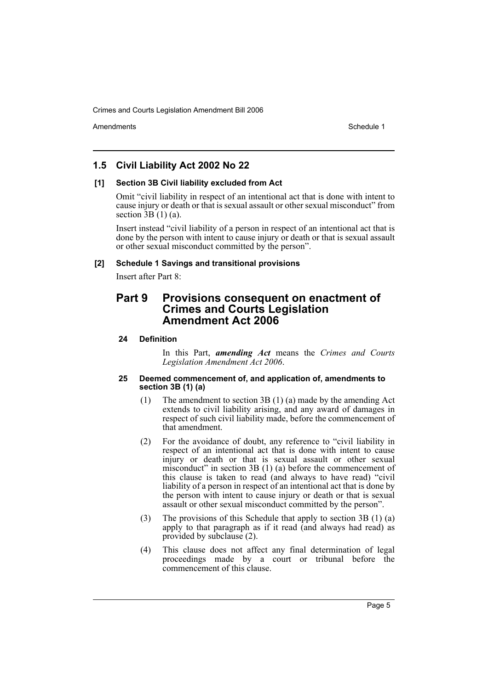Amendments **Amendments** Schedule 1

# **1.5 Civil Liability Act 2002 No 22**

### **[1] Section 3B Civil liability excluded from Act**

Omit "civil liability in respect of an intentional act that is done with intent to cause injury or death or that is sexual assault or other sexual misconduct" from section  $\overline{3B(1)}$  (a).

Insert instead "civil liability of a person in respect of an intentional act that is done by the person with intent to cause injury or death or that is sexual assault or other sexual misconduct committed by the person".

### **[2] Schedule 1 Savings and transitional provisions**

Insert after Part 8:

# **Part 9 Provisions consequent on enactment of Crimes and Courts Legislation Amendment Act 2006**

### **24 Definition**

In this Part, *amending Act* means the *Crimes and Courts Legislation Amendment Act 2006*.

### **25 Deemed commencement of, and application of, amendments to section 3B (1) (a)**

- (1) The amendment to section 3B (1) (a) made by the amending Act extends to civil liability arising, and any award of damages in respect of such civil liability made, before the commencement of that amendment.
- (2) For the avoidance of doubt, any reference to "civil liability in respect of an intentional act that is done with intent to cause injury or death or that is sexual assault or other sexual misconduct" in section 3B (1) (a) before the commencement of this clause is taken to read (and always to have read) "civil liability of a person in respect of an intentional act that is done by the person with intent to cause injury or death or that is sexual assault or other sexual misconduct committed by the person".
- (3) The provisions of this Schedule that apply to section 3B (1) (a) apply to that paragraph as if it read (and always had read) as provided by subclause (2).
- (4) This clause does not affect any final determination of legal proceedings made by a court or tribunal before the commencement of this clause.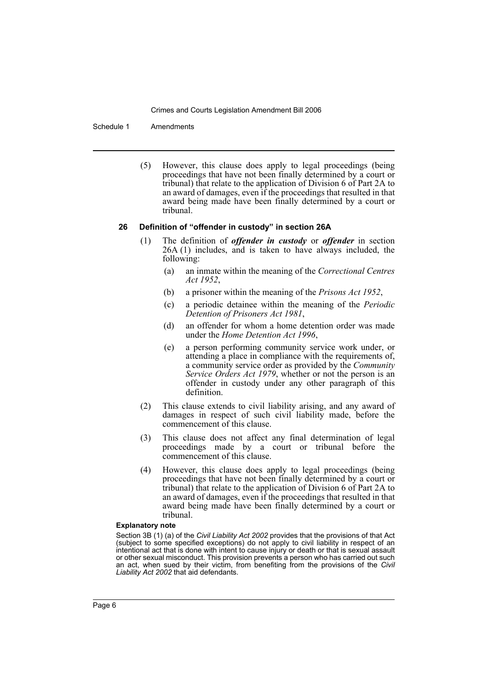Schedule 1 Amendments

(5) However, this clause does apply to legal proceedings (being proceedings that have not been finally determined by a court or tribunal) that relate to the application of Division 6 of Part 2A to an award of damages, even if the proceedings that resulted in that award being made have been finally determined by a court or tribunal.

### **26 Definition of "offender in custody" in section 26A**

- (1) The definition of *offender in custody* or *offender* in section 26A (1) includes, and is taken to have always included, the following:
	- (a) an inmate within the meaning of the *Correctional Centres Act 1952*,
	- (b) a prisoner within the meaning of the *Prisons Act 1952*,
	- (c) a periodic detainee within the meaning of the *Periodic Detention of Prisoners Act 1981*,
	- (d) an offender for whom a home detention order was made under the *Home Detention Act 1996*,
	- (e) a person performing community service work under, or attending a place in compliance with the requirements of, a community service order as provided by the *Community Service Orders Act 1979*, whether or not the person is an offender in custody under any other paragraph of this definition.
- (2) This clause extends to civil liability arising, and any award of damages in respect of such civil liability made, before the commencement of this clause.
- (3) This clause does not affect any final determination of legal proceedings made by a court or tribunal before the commencement of this clause.
- (4) However, this clause does apply to legal proceedings (being proceedings that have not been finally determined by a court or tribunal) that relate to the application of Division 6 of Part 2A to an award of damages, even if the proceedings that resulted in that award being made have been finally determined by a court or tribunal.

#### **Explanatory note**

Section 3B (1) (a) of the *Civil Liability Act 2002* provides that the provisions of that Act (subject to some specified exceptions) do not apply to civil liability in respect of an intentional act that is done with intent to cause injury or death or that is sexual assault or other sexual misconduct. This provision prevents a person who has carried out such an act, when sued by their victim, from benefiting from the provisions of the *Civil Liability Act 2002* that aid defendants.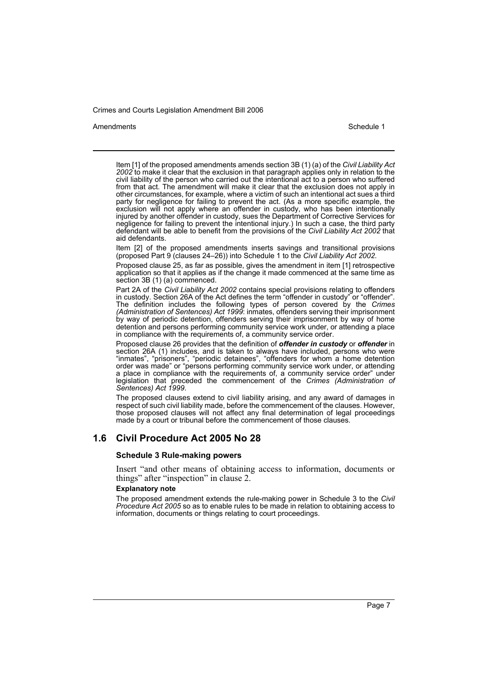#### Amendments **Amendments** Schedule 1

Item [1] of the proposed amendments amends section 3B (1) (a) of the *Civil Liability Act* 2002 to make it clear that the exclusion in that paragraph applies only in relation to the civil liability of the person who carried out the intentional act to a person who suffered from that act. The amendment will make it clear that the exclusion does not apply in other circumstances, for example, where a victim of such an intentional act sues a third party for negligence for failing to prevent the act. (As a more specific example, the exclusion will not apply where an offender in custody, who has been intentionally injured by another offender in custody, sues the Department of Corrective Services for negligence for failing to prevent the intentional injury.) In such a case, the third party defendant will be able to benefit from the provisions of the *Civil Liability Act 2002* that aid defendants.

Item [2] of the proposed amendments inserts savings and transitional provisions (proposed Part 9 (clauses 24–26)) into Schedule 1 to the *Civil Liability Act 2002*.

Proposed clause 25, as far as possible, gives the amendment in item [1] retrospective application so that it applies as if the change it made commenced at the same time as section 3B (1) (a) commenced.

Part 2A of the *Civil Liability Act 2002* contains special provisions relating to offenders in custody. Section 26A of the Act defines the term "offender in custody" or "offender". The definition includes the following types of person covered by the *Crimes (Administration of Sentences) Act 1999*: inmates, offenders serving their imprisonment by way of periodic detention, offenders serving their imprisonment by way of home detention and persons performing community service work under, or attending a place in compliance with the requirements of, a community service order.

Proposed clause 26 provides that the definition of *offender in custody* or *offender* in section 26A (1) includes, and is taken to always have included, persons who were "inmates", "prisoners", "periodic detainees", "offenders for whom a home detention order was made" or "persons performing community service work under, or attending a place in compliance with the requirements of, a community service order" under legislation that preceded the commencement of the *Crimes (Administration of Sentences) Act 1999*.

The proposed clauses extend to civil liability arising, and any award of damages in respect of such civil liability made, before the commencement of the clauses. However, those proposed clauses will not affect any final determination of legal proceedings made by a court or tribunal before the commencement of those clauses.

# **1.6 Civil Procedure Act 2005 No 28**

### **Schedule 3 Rule-making powers**

Insert "and other means of obtaining access to information, documents or things" after "inspection" in clause 2.

#### **Explanatory note**

The proposed amendment extends the rule-making power in Schedule 3 to the *Civil Procedure Act 2005* so as to enable rules to be made in relation to obtaining access to information, documents or things relating to court proceedings.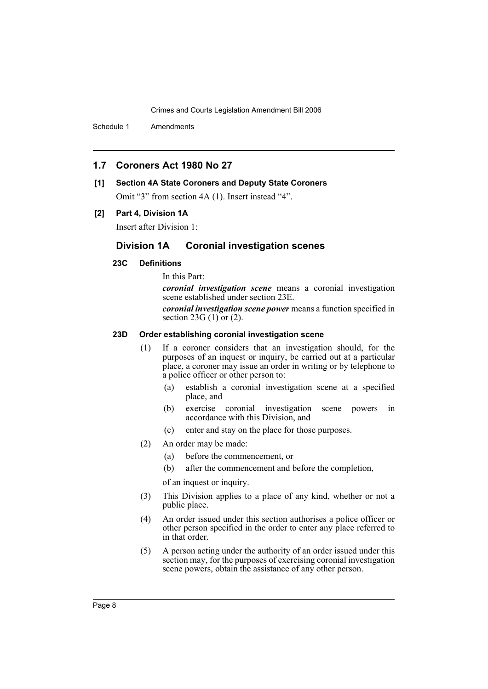Schedule 1 Amendments

# **1.7 Coroners Act 1980 No 27**

# **[1] Section 4A State Coroners and Deputy State Coroners**

Omit "3" from section 4A (1). Insert instead "4".

### **[2] Part 4, Division 1A**

Insert after Division 1:

# **Division 1A Coronial investigation scenes**

# **23C Definitions**

In this Part:

*coronial investigation scene* means a coronial investigation scene established under section 23E.

*coronial investigation scene power* means a function specified in section 23G  $(1)$  or  $(2)$ .

### **23D Order establishing coronial investigation scene**

- (1) If a coroner considers that an investigation should, for the purposes of an inquest or inquiry, be carried out at a particular place, a coroner may issue an order in writing or by telephone to a police officer or other person to:
	- (a) establish a coronial investigation scene at a specified place, and
	- (b) exercise coronial investigation scene powers in accordance with this Division, and
	- (c) enter and stay on the place for those purposes.
- (2) An order may be made:
	- (a) before the commencement, or
	- (b) after the commencement and before the completion,

of an inquest or inquiry.

- (3) This Division applies to a place of any kind, whether or not a public place.
- (4) An order issued under this section authorises a police officer or other person specified in the order to enter any place referred to in that order.
- (5) A person acting under the authority of an order issued under this section may, for the purposes of exercising coronial investigation scene powers, obtain the assistance of any other person.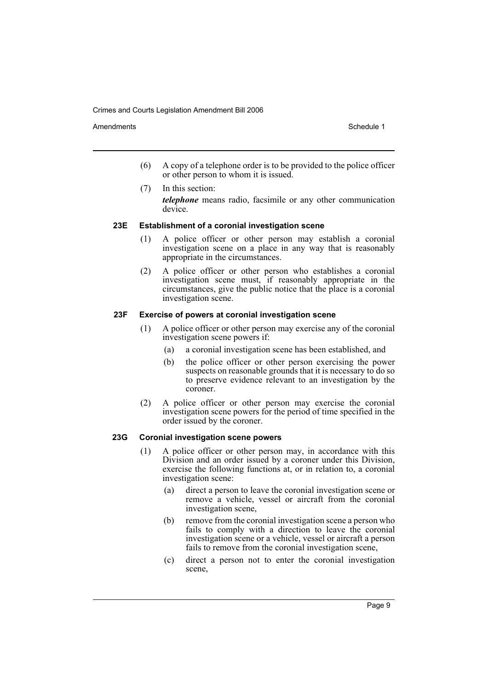Amendments **Amendments** Schedule 1

- (6) A copy of a telephone order is to be provided to the police officer or other person to whom it is issued.
- (7) In this section: *telephone* means radio, facsimile or any other communication device.

### **23E Establishment of a coronial investigation scene**

- (1) A police officer or other person may establish a coronial investigation scene on a place in any way that is reasonably appropriate in the circumstances.
- (2) A police officer or other person who establishes a coronial investigation scene must, if reasonably appropriate in the circumstances, give the public notice that the place is a coronial investigation scene.

### **23F Exercise of powers at coronial investigation scene**

- (1) A police officer or other person may exercise any of the coronial investigation scene powers if:
	- (a) a coronial investigation scene has been established, and
	- (b) the police officer or other person exercising the power suspects on reasonable grounds that it is necessary to do so to preserve evidence relevant to an investigation by the coroner.
- (2) A police officer or other person may exercise the coronial investigation scene powers for the period of time specified in the order issued by the coroner.

### **23G Coronial investigation scene powers**

- (1) A police officer or other person may, in accordance with this Division and an order issued by a coroner under this Division, exercise the following functions at, or in relation to, a coronial investigation scene:
	- (a) direct a person to leave the coronial investigation scene or remove a vehicle, vessel or aircraft from the coronial investigation scene,
	- (b) remove from the coronial investigation scene a person who fails to comply with a direction to leave the coronial investigation scene or a vehicle, vessel or aircraft a person fails to remove from the coronial investigation scene,
	- (c) direct a person not to enter the coronial investigation scene,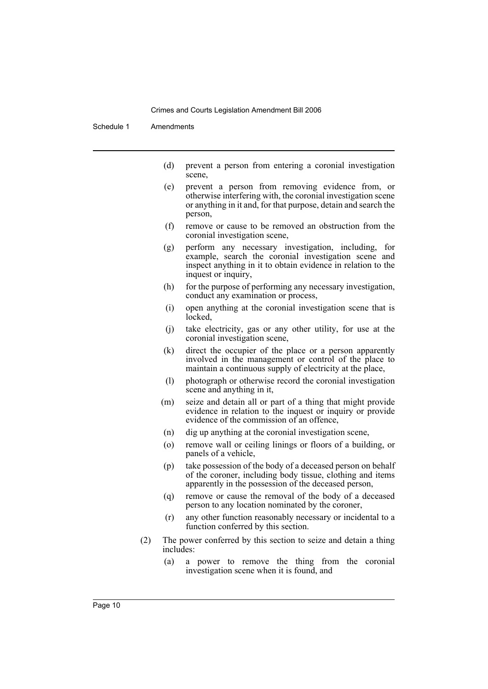Schedule 1 Amendments

- (d) prevent a person from entering a coronial investigation scene,
- (e) prevent a person from removing evidence from, or otherwise interfering with, the coronial investigation scene or anything in it and, for that purpose, detain and search the person,
- (f) remove or cause to be removed an obstruction from the coronial investigation scene,
- (g) perform any necessary investigation, including, for example, search the coronial investigation scene and inspect anything in it to obtain evidence in relation to the inquest or inquiry,
- (h) for the purpose of performing any necessary investigation, conduct any examination or process,
- (i) open anything at the coronial investigation scene that is locked,
- (j) take electricity, gas or any other utility, for use at the coronial investigation scene,
- (k) direct the occupier of the place or a person apparently involved in the management or control of the place to maintain a continuous supply of electricity at the place,
- (l) photograph or otherwise record the coronial investigation scene and anything in it,
- (m) seize and detain all or part of a thing that might provide evidence in relation to the inquest or inquiry or provide evidence of the commission of an offence,
- (n) dig up anything at the coronial investigation scene,
- (o) remove wall or ceiling linings or floors of a building, or panels of a vehicle,
- (p) take possession of the body of a deceased person on behalf of the coroner, including body tissue, clothing and items apparently in the possession of the deceased person,
- (q) remove or cause the removal of the body of a deceased person to any location nominated by the coroner,
- (r) any other function reasonably necessary or incidental to a function conferred by this section.
- (2) The power conferred by this section to seize and detain a thing includes:
	- (a) a power to remove the thing from the coronial investigation scene when it is found, and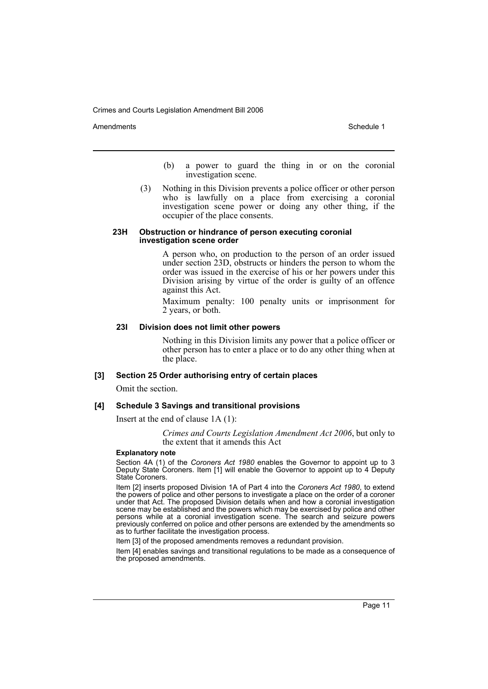Amendments **Amendments** Schedule 1

- (b) a power to guard the thing in or on the coronial investigation scene.
- (3) Nothing in this Division prevents a police officer or other person who is lawfully on a place from exercising a coronial investigation scene power or doing any other thing, if the occupier of the place consents.

#### **23H Obstruction or hindrance of person executing coronial investigation scene order**

A person who, on production to the person of an order issued under section 23D, obstructs or hinders the person to whom the order was issued in the exercise of his or her powers under this Division arising by virtue of the order is guilty of an offence against this Act.

Maximum penalty: 100 penalty units or imprisonment for 2 years, or both.

### **23I Division does not limit other powers**

Nothing in this Division limits any power that a police officer or other person has to enter a place or to do any other thing when at the place.

### **[3] Section 25 Order authorising entry of certain places**

Omit the section.

### **[4] Schedule 3 Savings and transitional provisions**

Insert at the end of clause 1A (1):

*Crimes and Courts Legislation Amendment Act 2006*, but only to the extent that it amends this Act

#### **Explanatory note**

Section 4A (1) of the *Coroners Act 1980* enables the Governor to appoint up to 3 Deputy State Coroners. Item [1] will enable the Governor to appoint up to 4 Deputy State Coroners.

Item [2] inserts proposed Division 1A of Part 4 into the *Coroners Act 1980*, to extend the powers of police and other persons to investigate a place on the order of a coroner under that Act. The proposed Division details when and how a coronial investigation scene may be established and the powers which may be exercised by police and other persons while at a coronial investigation scene. The search and seizure powers previously conferred on police and other persons are extended by the amendments so as to further facilitate the investigation process.

Item [3] of the proposed amendments removes a redundant provision.

Item [4] enables savings and transitional regulations to be made as a consequence of the proposed amendments.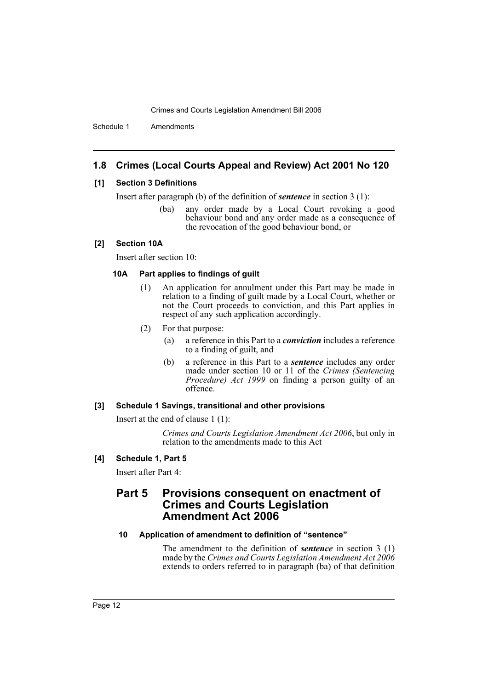Schedule 1 Amendments

# **1.8 Crimes (Local Courts Appeal and Review) Act 2001 No 120**

### **[1] Section 3 Definitions**

Insert after paragraph (b) of the definition of *sentence* in section 3 (1):

(ba) any order made by a Local Court revoking a good behaviour bond and any order made as a consequence of the revocation of the good behaviour bond, or

### **[2] Section 10A**

Insert after section 10:

### **10A Part applies to findings of guilt**

- (1) An application for annulment under this Part may be made in relation to a finding of guilt made by a Local Court, whether or not the Court proceeds to conviction, and this Part applies in respect of any such application accordingly.
- (2) For that purpose:
	- (a) a reference in this Part to a *conviction* includes a reference to a finding of guilt, and
	- (b) a reference in this Part to a *sentence* includes any order made under section 10 or 11 of the *Crimes (Sentencing Procedure) Act 1999* on finding a person guilty of an offence.

### **[3] Schedule 1 Savings, transitional and other provisions**

Insert at the end of clause 1 (1):

*Crimes and Courts Legislation Amendment Act 2006*, but only in relation to the amendments made to this Act

### **[4] Schedule 1, Part 5**

Insert after Part 4:

# **Part 5 Provisions consequent on enactment of Crimes and Courts Legislation Amendment Act 2006**

#### **10 Application of amendment to definition of "sentence"**

The amendment to the definition of *sentence* in section 3 (1) made by the *Crimes and Courts Legislation Amendment Act 2006* extends to orders referred to in paragraph (ba) of that definition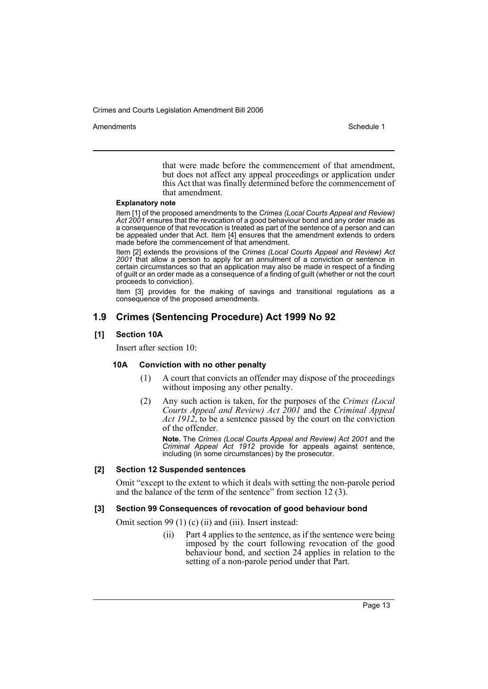Amendments **Amendments** Schedule 1

that were made before the commencement of that amendment, but does not affect any appeal proceedings or application under this Act that was finally determined before the commencement of that amendment.

#### **Explanatory note**

Item [1] of the proposed amendments to the *Crimes (Local Courts Appeal and Review) Act 2001* ensures that the revocation of a good behaviour bond and any order made as a consequence of that revocation is treated as part of the sentence of a person and can be appealed under that Act. Item [4] ensures that the amendment extends to orders made before the commencement of that amendment.

Item [2] extends the provisions of the *Crimes (Local Courts Appeal and Review) Act 2001* that allow a person to apply for an annulment of a conviction or sentence in certain circumstances so that an application may also be made in respect of a finding of guilt or an order made as a consequence of a finding of guilt (whether or not the court proceeds to conviction).

Item [3] provides for the making of savings and transitional regulations as a consequence of the proposed amendments.

# **1.9 Crimes (Sentencing Procedure) Act 1999 No 92**

#### **[1] Section 10A**

Insert after section 10:

### **10A Conviction with no other penalty**

- (1) A court that convicts an offender may dispose of the proceedings without imposing any other penalty.
- (2) Any such action is taken, for the purposes of the *Crimes (Local Courts Appeal and Review) Act 2001* and the *Criminal Appeal Act 1912*, to be a sentence passed by the court on the conviction of the offender.

**Note.** The *Crimes (Local Courts Appeal and Review) Act 2001* and the *Criminal Appeal Act 1912* provide for appeals against sentence, including (in some circumstances) by the prosecutor.

### **[2] Section 12 Suspended sentences**

Omit "except to the extent to which it deals with setting the non-parole period and the balance of the term of the sentence" from section 12 (3).

#### **[3] Section 99 Consequences of revocation of good behaviour bond**

Omit section 99 (1) (c) (ii) and (iii). Insert instead:

(ii) Part 4 applies to the sentence, as if the sentence were being imposed by the court following revocation of the good behaviour bond, and section 24 applies in relation to the setting of a non-parole period under that Part.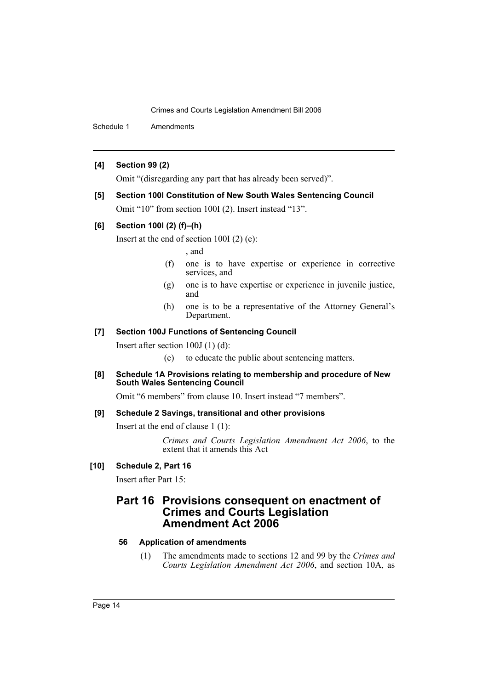Schedule 1 Amendments

### **[4] Section 99 (2)**

Omit "(disregarding any part that has already been served)".

### **[5] Section 100I Constitution of New South Wales Sentencing Council**

Omit "10" from section 100I (2). Insert instead "13".

### **[6] Section 100I (2) (f)–(h)**

Insert at the end of section 100I (2) (e):

### , and

- (f) one is to have expertise or experience in corrective services, and
- (g) one is to have expertise or experience in juvenile justice, and
- (h) one is to be a representative of the Attorney General's Department.

### **[7] Section 100J Functions of Sentencing Council**

Insert after section 100J (1) (d):

(e) to educate the public about sentencing matters.

**[8] Schedule 1A Provisions relating to membership and procedure of New South Wales Sentencing Council**

Omit "6 members" from clause 10. Insert instead "7 members".

### **[9] Schedule 2 Savings, transitional and other provisions**

Insert at the end of clause 1 (1):

*Crimes and Courts Legislation Amendment Act 2006*, to the extent that it amends this Act

### **[10] Schedule 2, Part 16**

Insert after Part 15:

# **Part 16 Provisions consequent on enactment of Crimes and Courts Legislation Amendment Act 2006**

### **56 Application of amendments**

(1) The amendments made to sections 12 and 99 by the *Crimes and Courts Legislation Amendment Act 2006*, and section 10A, as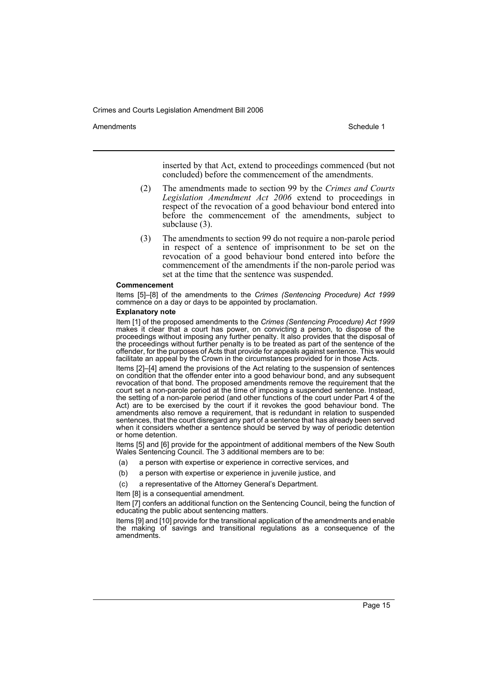Amendments **Amendments** Schedule 1

inserted by that Act, extend to proceedings commenced (but not concluded) before the commencement of the amendments.

- (2) The amendments made to section 99 by the *Crimes and Courts Legislation Amendment Act 2006* extend to proceedings in respect of the revocation of a good behaviour bond entered into before the commencement of the amendments, subject to subclause (3).
- (3) The amendments to section 99 do not require a non-parole period in respect of a sentence of imprisonment to be set on the revocation of a good behaviour bond entered into before the commencement of the amendments if the non-parole period was set at the time that the sentence was suspended.

#### **Commencement**

Items [5]–[8] of the amendments to the *Crimes (Sentencing Procedure) Act 1999* commence on a day or days to be appointed by proclamation.

#### **Explanatory note**

Item [1] of the proposed amendments to the *Crimes (Sentencing Procedure) Act 1999* makes it clear that a court has power, on convicting a person, to dispose of the proceedings without imposing any further penalty. It also provides that the disposal of the proceedings without further penalty is to be treated as part of the sentence of the offender, for the purposes of Acts that provide for appeals against sentence. This would facilitate an appeal by the Crown in the circumstances provided for in those Acts.

Items [2]–[4] amend the provisions of the Act relating to the suspension of sentences on condition that the offender enter into a good behaviour bond, and any subsequent revocation of that bond. The proposed amendments remove the requirement that the court set a non-parole period at the time of imposing a suspended sentence. Instead, the setting of a non-parole period (and other functions of the court under Part 4 of the Act) are to be exercised by the court if it revokes the good behaviour bond. The amendments also remove a requirement, that is redundant in relation to suspended sentences, that the court disregard any part of a sentence that has already been served when it considers whether a sentence should be served by way of periodic detention or home detention.

Items [5] and [6] provide for the appointment of additional members of the New South Wales Sentencing Council. The 3 additional members are to be:

- (a) a person with expertise or experience in corrective services, and
- (b) a person with expertise or experience in juvenile justice, and
- (c) a representative of the Attorney General's Department.

Item [8] is a consequential amendment.

Item [7] confers an additional function on the Sentencing Council, being the function of educating the public about sentencing matters.

Items [9] and [10] provide for the transitional application of the amendments and enable the making of savings and transitional regulations as a consequence of the amendments.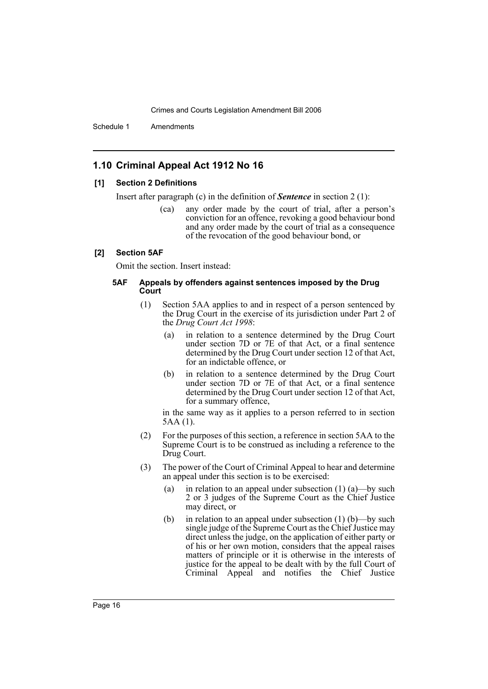Schedule 1 Amendments

# **1.10 Criminal Appeal Act 1912 No 16**

### **[1] Section 2 Definitions**

Insert after paragraph (c) in the definition of *Sentence* in section 2 (1):

(ca) any order made by the court of trial, after a person's conviction for an offence, revoking a good behaviour bond and any order made by the court of trial as a consequence of the revocation of the good behaviour bond, or

#### **[2] Section 5AF**

Omit the section. Insert instead:

### **5AF Appeals by offenders against sentences imposed by the Drug Court**

- (1) Section 5AA applies to and in respect of a person sentenced by the Drug Court in the exercise of its jurisdiction under Part 2 of the *Drug Court Act 1998*:
	- (a) in relation to a sentence determined by the Drug Court under section 7D or 7E of that Act, or a final sentence determined by the Drug Court under section 12 of that Act, for an indictable offence, or
	- (b) in relation to a sentence determined by the Drug Court under section 7D or 7E of that Act, or a final sentence determined by the Drug Court under section 12 of that Act, for a summary offence,

in the same way as it applies to a person referred to in section 5AA (1).

- (2) For the purposes of this section, a reference in section 5AA to the Supreme Court is to be construed as including a reference to the Drug Court.
- (3) The power of the Court of Criminal Appeal to hear and determine an appeal under this section is to be exercised:
	- (a) in relation to an appeal under subsection  $(1)$  (a)—by such 2 or 3 judges of the Supreme Court as the Chief Justice may direct, or
	- (b) in relation to an appeal under subsection  $(1)$  (b)—by such single judge of the Supreme Court as the Chief Justice may direct unless the judge, on the application of either party or of his or her own motion, considers that the appeal raises matters of principle or it is otherwise in the interests of justice for the appeal to be dealt with by the full Court of Criminal Appeal and notifies the Chief Justice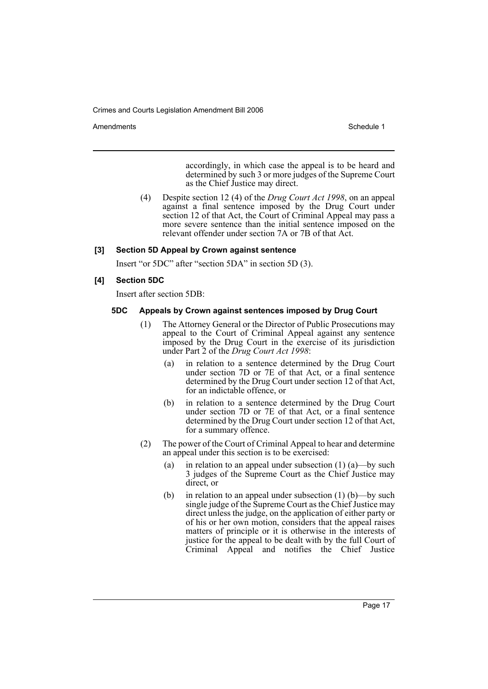Amendments **Amendments** Schedule 1

accordingly, in which case the appeal is to be heard and determined by such 3 or more judges of the Supreme Court as the Chief Justice may direct.

(4) Despite section 12 (4) of the *Drug Court Act 1998*, on an appeal against a final sentence imposed by the Drug Court under section 12 of that Act, the Court of Criminal Appeal may pass a more severe sentence than the initial sentence imposed on the relevant offender under section 7A or 7B of that Act.

### **[3] Section 5D Appeal by Crown against sentence**

Insert "or 5DC" after "section 5DA" in section 5D (3).

### **[4] Section 5DC**

Insert after section 5DB:

### **5DC Appeals by Crown against sentences imposed by Drug Court**

- (1) The Attorney General or the Director of Public Prosecutions may appeal to the Court of Criminal Appeal against any sentence imposed by the Drug Court in the exercise of its jurisdiction under Part 2 of the *Drug Court Act 1998*:
	- (a) in relation to a sentence determined by the Drug Court under section 7D or 7E of that Act, or a final sentence determined by the Drug Court under section 12 of that Act, for an indictable offence, or
	- (b) in relation to a sentence determined by the Drug Court under section 7D or 7E of that Act, or a final sentence determined by the Drug Court under section 12 of that Act, for a summary offence.
- (2) The power of the Court of Criminal Appeal to hear and determine an appeal under this section is to be exercised:
	- (a) in relation to an appeal under subsection  $(1)$  (a)—by such 3 judges of the Supreme Court as the Chief Justice may direct, or
	- (b) in relation to an appeal under subsection  $(1)$  (b)—by such single judge of the Supreme Court as the Chief Justice may direct unless the judge, on the application of either party or of his or her own motion, considers that the appeal raises matters of principle or it is otherwise in the interests of justice for the appeal to be dealt with by the full Court of Criminal Appeal and notifies the Chief Justice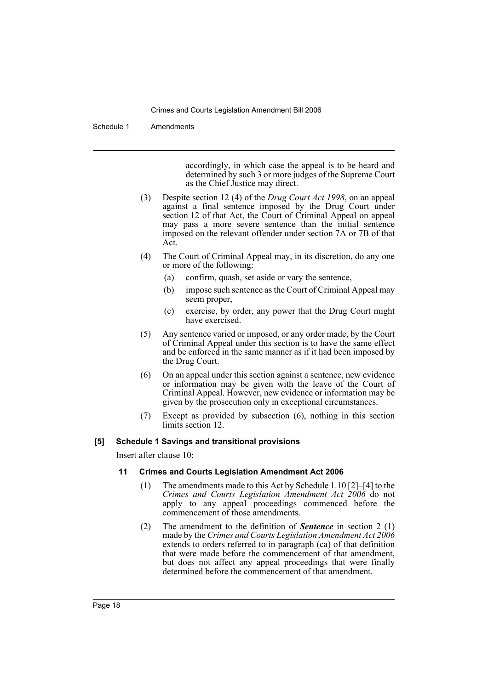Schedule 1 Amendments

accordingly, in which case the appeal is to be heard and determined by such 3 or more judges of the Supreme Court as the Chief Justice may direct.

- (3) Despite section 12 (4) of the *Drug Court Act 1998*, on an appeal against a final sentence imposed by the Drug Court under section 12 of that Act, the Court of Criminal Appeal on appeal may pass a more severe sentence than the initial sentence imposed on the relevant offender under section 7A or 7B of that Act.
- (4) The Court of Criminal Appeal may, in its discretion, do any one or more of the following:
	- (a) confirm, quash, set aside or vary the sentence,
	- (b) impose such sentence as the Court of Criminal Appeal may seem proper,
	- (c) exercise, by order, any power that the Drug Court might have exercised.
- (5) Any sentence varied or imposed, or any order made, by the Court of Criminal Appeal under this section is to have the same effect and be enforced in the same manner as if it had been imposed by the Drug Court.
- (6) On an appeal under this section against a sentence, new evidence or information may be given with the leave of the Court of Criminal Appeal. However, new evidence or information may be given by the prosecution only in exceptional circumstances.
- (7) Except as provided by subsection (6), nothing in this section limits section 12.

### **[5] Schedule 1 Savings and transitional provisions**

Insert after clause 10:

### **11 Crimes and Courts Legislation Amendment Act 2006**

- (1) The amendments made to this Act by Schedule 1.10 [2]–[4] to the *Crimes and Courts Legislation Amendment Act 2006* do not apply to any appeal proceedings commenced before the commencement of those amendments.
- (2) The amendment to the definition of *Sentence* in section 2 (1) made by the *Crimes and Courts Legislation Amendment Act 2006* extends to orders referred to in paragraph (ca) of that definition that were made before the commencement of that amendment, but does not affect any appeal proceedings that were finally determined before the commencement of that amendment.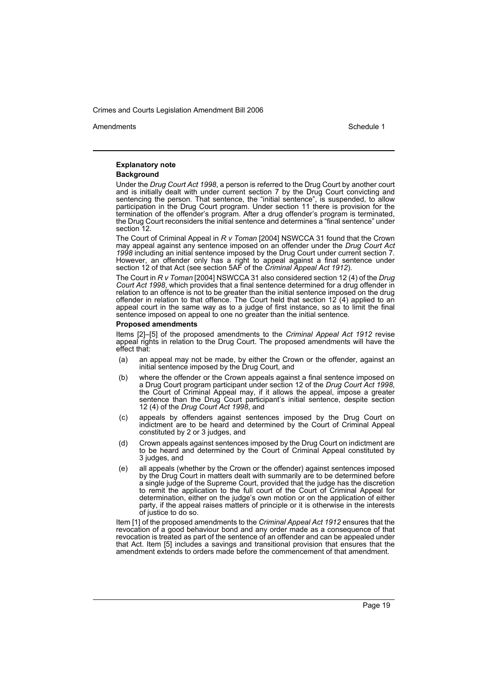Amendments **Amendments** Schedule 1

# **Explanatory note**

#### **Background**

Under the *Drug Court Act 1998*, a person is referred to the Drug Court by another court and is initially dealt with under current section 7 by the Drug Court convicting and sentencing the person. That sentence, the "initial sentence", is suspended, to allow participation in the Drug Court program. Under section 11 there is provision for the termination of the offender's program. After a drug offender's program is terminated, the Drug Court reconsiders the initial sentence and determines a "final sentence" under section 12.

The Court of Criminal Appeal in *R v Toman* [2004] NSWCCA 31 found that the Crown may appeal against any sentence imposed on an offender under the *Drug Court Act 1998* including an initial sentence imposed by the Drug Court under current section 7. However, an offender only has a right to appeal against a final sentence under section 12 of that Act (see section 5AF of the *Criminal Appeal Act 1912*).

The Court in *R v Toman* [2004] NSWCCA 31 also considered section 12 (4) of the *Drug Court Act 1998*, which provides that a final sentence determined for a drug offender in relation to an offence is not to be greater than the initial sentence imposed on the drug offender in relation to that offence. The Court held that section 12 (4) applied to an appeal court in the same way as to a judge of first instance, so as to limit the final sentence imposed on appeal to one no greater than the initial sentence.

#### **Proposed amendments**

Items [2]–[5] of the proposed amendments to the *Criminal Appeal Act 1912* revise appeal rights in relation to the Drug Court. The proposed amendments will have the effect that:

- (a) an appeal may not be made, by either the Crown or the offender, against an initial sentence imposed by the Drug Court, and
- (b) where the offender or the Crown appeals against a final sentence imposed on a Drug Court program participant under section 12 of the *Drug Court Act 1998*, the Court of Criminal Appeal may, if it allows the appeal, impose a greater sentence than the Drug Court participant's initial sentence, despite section 12 (4) of the *Drug Court Act 1998*, and
- (c) appeals by offenders against sentences imposed by the Drug Court on indictment are to be heard and determined by the Court of Criminal Appeal constituted by 2 or 3 judges, and
- (d) Crown appeals against sentences imposed by the Drug Court on indictment are to be heard and determined by the Court of Criminal Appeal constituted by 3 judges, and
- (e) all appeals (whether by the Crown or the offender) against sentences imposed by the Drug Court in matters dealt with summarily are to be determined before a single judge of the Supreme Court, provided that the judge has the discretion to remit the application to the full court of the Court of Criminal Appeal for determination, either on the judge's own motion or on the application of either party, if the appeal raises matters of principle or it is otherwise in the interests of justice to do so.

Item [1] of the proposed amendments to the *Criminal Appeal Act 1912* ensures that the revocation of a good behaviour bond and any order made as a consequence of that revocation is treated as part of the sentence of an offender and can be appealed under that Act. Item [5] includes a savings and transitional provision that ensures that the amendment extends to orders made before the commencement of that amendment.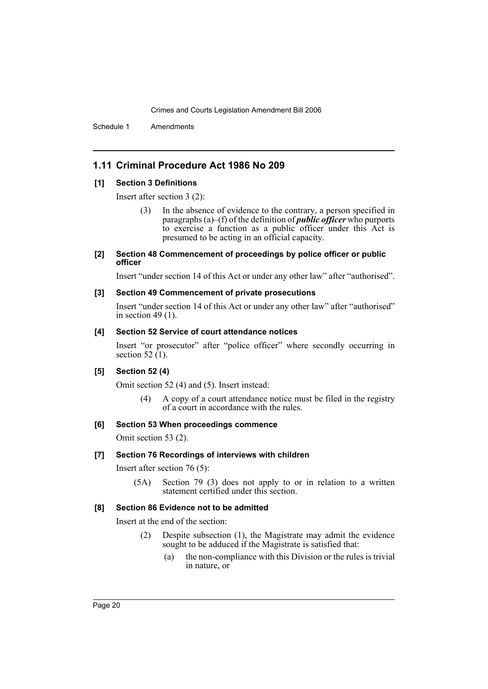Schedule 1 Amendments

# **1.11 Criminal Procedure Act 1986 No 209**

### **[1] Section 3 Definitions**

Insert after section 3 (2):

In the absence of evidence to the contrary, a person specified in paragraphs (a)–(f) of the definition of *public officer* who purports to exercise a function as a public officer under this Act is presumed to be acting in an official capacity.

#### **[2] Section 48 Commencement of proceedings by police officer or public officer**

Insert "under section 14 of this Act or under any other law" after "authorised".

### **[3] Section 49 Commencement of private prosecutions**

Insert "under section 14 of this Act or under any other law" after "authorised" in section 49 $(1)$ .

### **[4] Section 52 Service of court attendance notices**

Insert "or prosecutor" after "police officer" where secondly occurring in section 52  $(1)$ .

### **[5] Section 52 (4)**

Omit section 52 (4) and (5). Insert instead:

(4) A copy of a court attendance notice must be filed in the registry of a court in accordance with the rules.

### **[6] Section 53 When proceedings commence**

Omit section 53 (2).

### **[7] Section 76 Recordings of interviews with children**

Insert after section 76 (5):

(5A) Section 79 (3) does not apply to or in relation to a written statement certified under this section.

### **[8] Section 86 Evidence not to be admitted**

Insert at the end of the section:

- (2) Despite subsection (1), the Magistrate may admit the evidence sought to be adduced if the Magistrate is satisfied that:
	- (a) the non-compliance with this Division or the rules is trivial in nature, or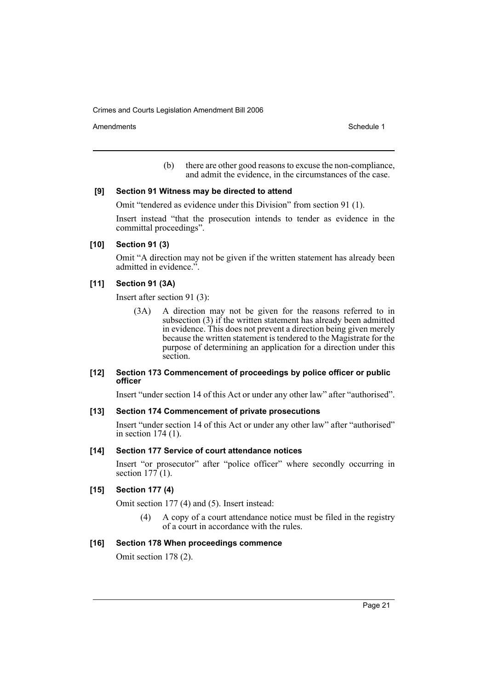Amendments **Schedule 1** and the set of the set of the set of the set of the set of the set of the set of the set of the set of the set of the set of the set of the set of the set of the set of the set of the set of the set

(b) there are other good reasons to excuse the non-compliance, and admit the evidence, in the circumstances of the case.

### **[9] Section 91 Witness may be directed to attend**

Omit "tendered as evidence under this Division" from section 91 (1).

Insert instead "that the prosecution intends to tender as evidence in the committal proceedings".

### **[10] Section 91 (3)**

Omit "A direction may not be given if the written statement has already been admitted in evidence.".

### **[11] Section 91 (3A)**

Insert after section 91 (3):

(3A) A direction may not be given for the reasons referred to in subsection (3) if the written statement has already been admitted in evidence. This does not prevent a direction being given merely because the written statement is tendered to the Magistrate for the purpose of determining an application for a direction under this section.

### **[12] Section 173 Commencement of proceedings by police officer or public officer**

Insert "under section 14 of this Act or under any other law" after "authorised".

### **[13] Section 174 Commencement of private prosecutions**

Insert "under section 14 of this Act or under any other law" after "authorised" in section 174 (1).

### **[14] Section 177 Service of court attendance notices**

Insert "or prosecutor" after "police officer" where secondly occurring in section  $177(1)$ .

# **[15] Section 177 (4)**

Omit section 177 (4) and (5). Insert instead:

(4) A copy of a court attendance notice must be filed in the registry of a court in accordance with the rules.

### **[16] Section 178 When proceedings commence**

Omit section 178 (2).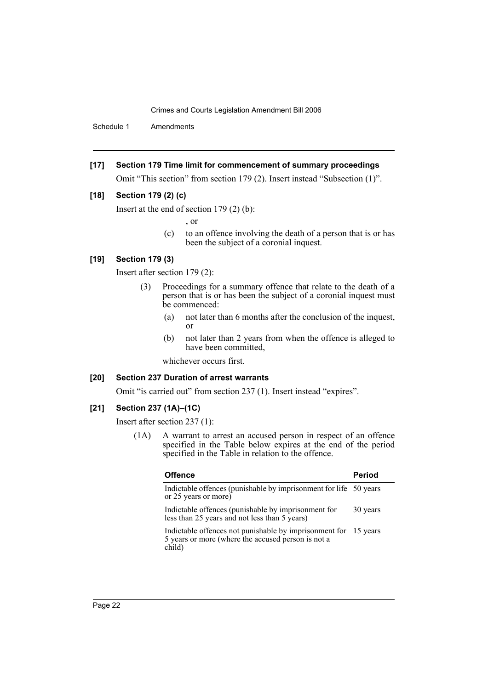Schedule 1 Amendments

**[17] Section 179 Time limit for commencement of summary proceedings**

Omit "This section" from section 179 (2). Insert instead "Subsection (1)".

### **[18] Section 179 (2) (c)**

Insert at the end of section 179 (2) (b):

, or

(c) to an offence involving the death of a person that is or has been the subject of a coronial inquest.

### **[19] Section 179 (3)**

Insert after section 179 (2):

- (3) Proceedings for a summary offence that relate to the death of a person that is or has been the subject of a coronial inquest must be commenced:
	- (a) not later than 6 months after the conclusion of the inquest, or
	- (b) not later than 2 years from when the offence is alleged to have been committed,

whichever occurs first.

### **[20] Section 237 Duration of arrest warrants**

Omit "is carried out" from section 237 (1). Insert instead "expires".

# **[21] Section 237 (1A)–(1C)**

Insert after section 237 (1):

(1A) A warrant to arrest an accused person in respect of an offence specified in the Table below expires at the end of the period specified in the Table in relation to the offence.

| <b>Offence</b>                                                                                                                  | <b>Period</b> |
|---------------------------------------------------------------------------------------------------------------------------------|---------------|
| Indictable offences (punishable by imprisonment for life 50 years)<br>or 25 years or more)                                      |               |
| Indictable offences (punishable by imprisonment for<br>less than 25 years and not less than 5 years)                            | 30 years      |
| Indictable offences not punishable by imprisonment for 15 years<br>5 years or more (where the accused person is not a<br>child) |               |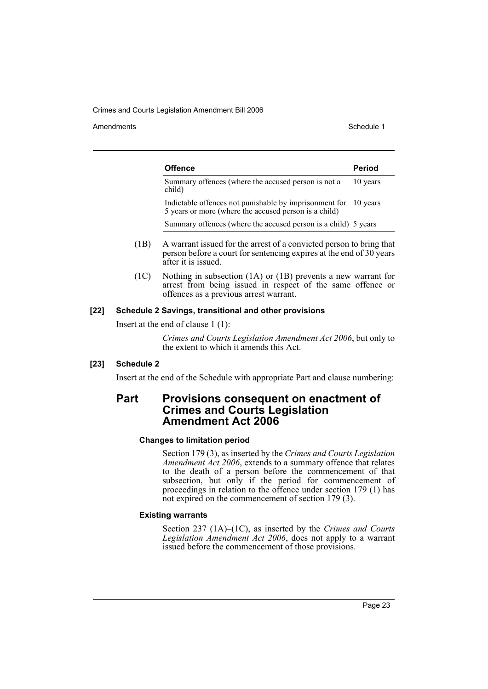Amendments **Schedule 1** and the set of the set of the set of the set of the set of the set of the set of the set of the set of the set of the set of the set of the set of the set of the set of the set of the set of the set

| <b>Offence</b>                                                                                                           | <b>Period</b> |
|--------------------------------------------------------------------------------------------------------------------------|---------------|
| Summary offences (where the accused person is not a<br>child)                                                            | 10 years      |
| Indictable offences not punishable by imprisonment for 10 years<br>5 years or more (where the accused person is a child) |               |
| Summary offences (where the accused person is a child) 5 years                                                           |               |

- (1B) A warrant issued for the arrest of a convicted person to bring that person before a court for sentencing expires at the end of 30 years after it is issued.
- (1C) Nothing in subsection (1A) or (1B) prevents a new warrant for arrest from being issued in respect of the same offence or offences as a previous arrest warrant.

### **[22] Schedule 2 Savings, transitional and other provisions**

Insert at the end of clause 1 (1):

*Crimes and Courts Legislation Amendment Act 2006*, but only to the extent to which it amends this Act.

### **[23] Schedule 2**

Insert at the end of the Schedule with appropriate Part and clause numbering:

# **Part Provisions consequent on enactment of Crimes and Courts Legislation Amendment Act 2006**

#### **Changes to limitation period**

Section 179 (3), as inserted by the *Crimes and Courts Legislation Amendment Act 2006*, extends to a summary offence that relates to the death of a person before the commencement of that subsection, but only if the period for commencement of proceedings in relation to the offence under section 179 (1) has not expired on the commencement of section 179 (3).

### **Existing warrants**

Section 237 (1A)–(1C), as inserted by the *Crimes and Courts Legislation Amendment Act 2006*, does not apply to a warrant issued before the commencement of those provisions.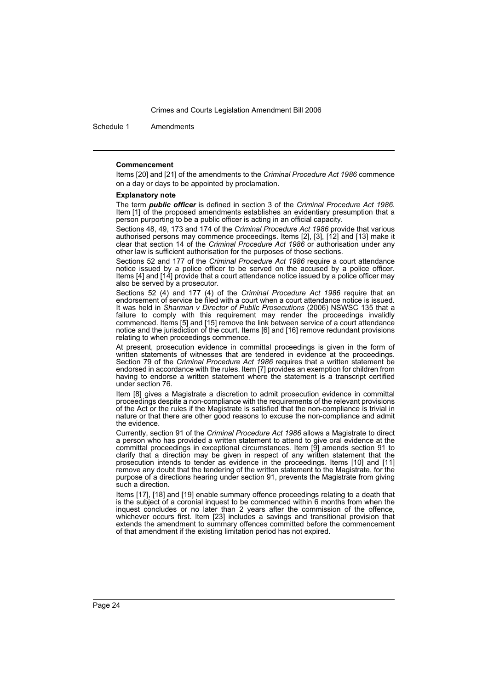Schedule 1 Amendments

#### **Commencement**

Items [20] and [21] of the amendments to the *Criminal Procedure Act 1986* commence on a day or days to be appointed by proclamation.

#### **Explanatory note**

The term *public officer* is defined in section 3 of the *Criminal Procedure Act 1986*. Item [1] of the proposed amendments establishes an evidentiary presumption that a person purporting to be a public officer is acting in an official capacity.

Sections 48, 49, 173 and 174 of the *Criminal Procedure Act 1986* provide that various authorised persons may commence proceedings. Items [2], [3], [12] and [13] make it clear that section 14 of the *Criminal Procedure Act 1986* or authorisation under any other law is sufficient authorisation for the purposes of those sections.

Sections 52 and 177 of the *Criminal Procedure Act 1986* require a court attendance notice issued by a police officer to be served on the accused by a police officer. Items [4] and [14] provide that a court attendance notice issued by a police officer may also be served by a prosecutor.

Sections 52 (4) and 177 (4) of the *Criminal Procedure Act 1986* require that an endorsement of service be filed with a court when a court attendance notice is issued. It was held in *Sharman v Director of Public Prosecutions* (2006) NSWSC 135 that a failure to comply with this requirement may render the proceedings invalidly commenced. Items [5] and [15] remove the link between service of a court attendance notice and the jurisdiction of the court. Items [6] and [16] remove redundant provisions relating to when proceedings commence.

At present, prosecution evidence in committal proceedings is given in the form of written statements of witnesses that are tendered in evidence at the proceedings. Section 79 of the *Criminal Procedure Act 1986* requires that a written statement be endorsed in accordance with the rules. Item [7] provides an exemption for children from having to endorse a written statement where the statement is a transcript certified under section 76.

Item [8] gives a Magistrate a discretion to admit prosecution evidence in committal proceedings despite a non-compliance with the requirements of the relevant provisions of the Act or the rules if the Magistrate is satisfied that the non-compliance is trivial in nature or that there are other good reasons to excuse the non-compliance and admit the evidence.

Currently, section 91 of the *Criminal Procedure Act 1986* allows a Magistrate to direct a person who has provided a written statement to attend to give oral evidence at the committal proceedings in exceptional circumstances. Item [9] amends section 91 to clarify that a direction may be given in respect of any written statement that the prosecution intends to tender as evidence in the proceedings. Items [10] and [11] remove any doubt that the tendering of the written statement to the Magistrate, for the purpose of a directions hearing under section 91, prevents the Magistrate from giving such a direction.

Items [17], [18] and [19] enable summary offence proceedings relating to a death that is the subject of a coronial inquest to be commenced within 6 months from when the inquest concludes or no later than 2 years after the commission of the offence, whichever occurs first. Item [23] includes a savings and transitional provision that extends the amendment to summary offences committed before the commencement of that amendment if the existing limitation period has not expired.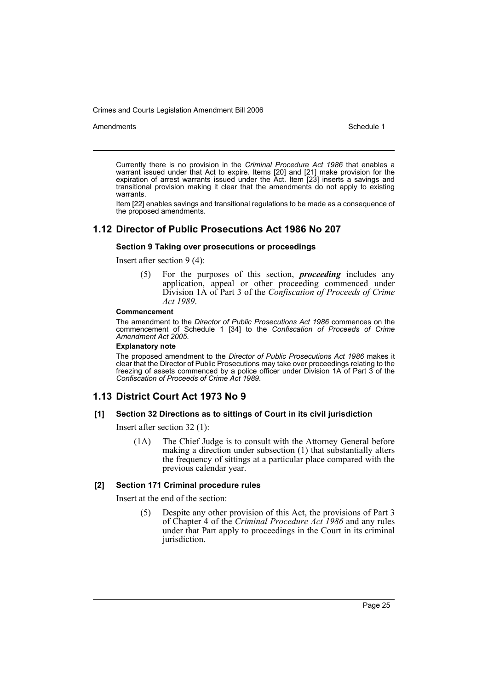Amendments **Amendments** Schedule 1

Currently there is no provision in the *Criminal Procedure Act 1986* that enables a warrant issued under that Act to expire. Items [20] and [21] make provision for the expiration of arrest warrants issued under the Act. Item [23] inserts a savings and transitional provision making it clear that the amendments do not apply to existing warrants.

Item [22] enables savings and transitional regulations to be made as a consequence of the proposed amendments.

# **1.12 Director of Public Prosecutions Act 1986 No 207**

### **Section 9 Taking over prosecutions or proceedings**

Insert after section 9 (4):

(5) For the purposes of this section, *proceeding* includes any application, appeal or other proceeding commenced under Division 1A of Part 3 of the *Confiscation of Proceeds of Crime Act 1989*.

#### **Commencement**

The amendment to the *Director of Public Prosecutions Act 1986* commences on the commencement of Schedule 1 [34] to the *Confiscation of Proceeds of Crime Amendment Act 2005*.

#### **Explanatory note**

The proposed amendment to the *Director of Public Prosecutions Act 1986* makes it clear that the Director of Public Prosecutions may take over proceedings relating to the freezing of assets commenced by a police officer under Division  $1A$  of Part  $3$  of the *Confiscation of Proceeds of Crime Act 1989*.

# **1.13 District Court Act 1973 No 9**

### **[1] Section 32 Directions as to sittings of Court in its civil jurisdiction**

Insert after section 32 (1):

(1A) The Chief Judge is to consult with the Attorney General before making a direction under subsection (1) that substantially alters the frequency of sittings at a particular place compared with the previous calendar year.

### **[2] Section 171 Criminal procedure rules**

Insert at the end of the section:

(5) Despite any other provision of this Act, the provisions of Part 3 of Chapter 4 of the *Criminal Procedure Act 1986* and any rules under that Part apply to proceedings in the Court in its criminal jurisdiction.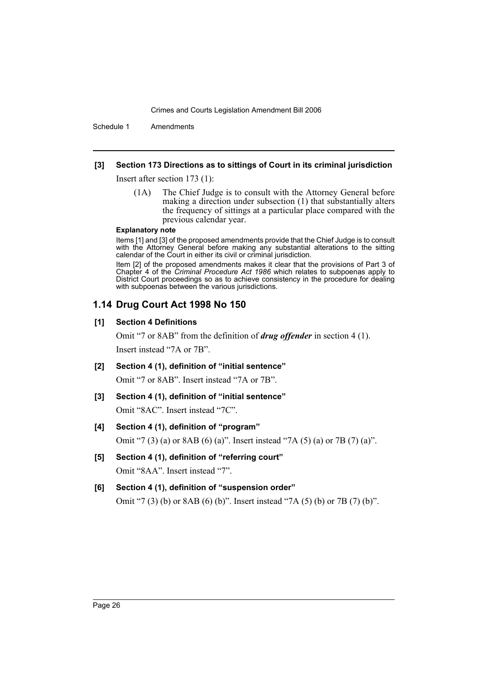Schedule 1 Amendments

### **[3] Section 173 Directions as to sittings of Court in its criminal jurisdiction**

Insert after section 173 (1):

(1A) The Chief Judge is to consult with the Attorney General before making a direction under subsection (1) that substantially alters the frequency of sittings at a particular place compared with the previous calendar year.

#### **Explanatory note**

Items [1] and [3] of the proposed amendments provide that the Chief Judge is to consult with the Attorney General before making any substantial alterations to the sitting calendar of the Court in either its civil or criminal jurisdiction.

Item [2] of the proposed amendments makes it clear that the provisions of Part 3 of Chapter 4 of the *Criminal Procedure Act 1986* which relates to subpoenas apply to District Court proceedings so as to achieve consistency in the procedure for dealing with subpoenas between the various jurisdictions.

### **1.14 Drug Court Act 1998 No 150**

### **[1] Section 4 Definitions**

Omit "7 or 8AB" from the definition of *drug offender* in section 4 (1). Insert instead "7A or 7B".

- **[2] Section 4 (1), definition of "initial sentence"** Omit "7 or 8AB". Insert instead "7A or 7B".
- **[3] Section 4 (1), definition of "initial sentence"** Omit "8AC". Insert instead "7C".

# **[4] Section 4 (1), definition of "program"** Omit "7 (3) (a) or 8AB (6) (a)". Insert instead "7A (5) (a) or 7B (7) (a)".

**[5] Section 4 (1), definition of "referring court"** Omit "8AA". Insert instead "7".

# **[6] Section 4 (1), definition of "suspension order"** Omit "7 (3) (b) or 8AB (6) (b)". Insert instead "7A (5) (b) or 7B (7) (b)".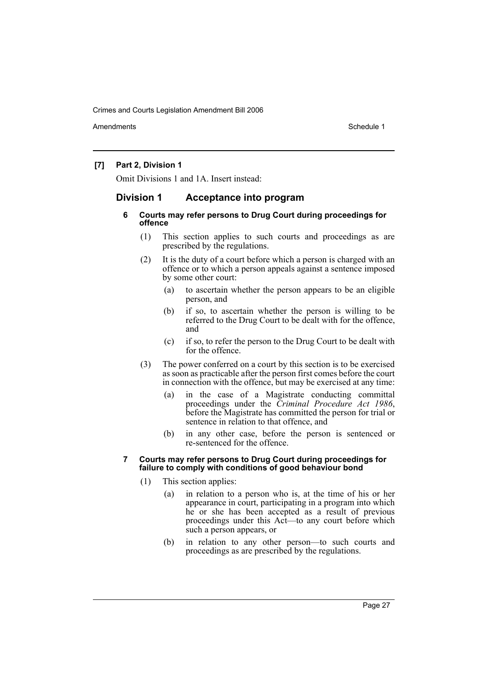Amendments **Amendments** Schedule 1

# **[7] Part 2, Division 1**

Omit Divisions 1 and 1A. Insert instead:

# **Division 1 Acceptance into program**

### **6 Courts may refer persons to Drug Court during proceedings for offence**

- (1) This section applies to such courts and proceedings as are prescribed by the regulations.
- (2) It is the duty of a court before which a person is charged with an offence or to which a person appeals against a sentence imposed by some other court:
	- (a) to ascertain whether the person appears to be an eligible person, and
	- (b) if so, to ascertain whether the person is willing to be referred to the Drug Court to be dealt with for the offence, and
	- (c) if so, to refer the person to the Drug Court to be dealt with for the offence.
- (3) The power conferred on a court by this section is to be exercised as soon as practicable after the person first comes before the court in connection with the offence, but may be exercised at any time:
	- (a) in the case of a Magistrate conducting committal proceedings under the *Criminal Procedure Act 1986*, before the Magistrate has committed the person for trial or sentence in relation to that offence, and
	- (b) in any other case, before the person is sentenced or re-sentenced for the offence.

#### **7 Courts may refer persons to Drug Court during proceedings for failure to comply with conditions of good behaviour bond**

- (1) This section applies:
	- (a) in relation to a person who is, at the time of his or her appearance in court, participating in a program into which he or she has been accepted as a result of previous proceedings under this Act—to any court before which such a person appears, or
	- (b) in relation to any other person—to such courts and proceedings as are prescribed by the regulations.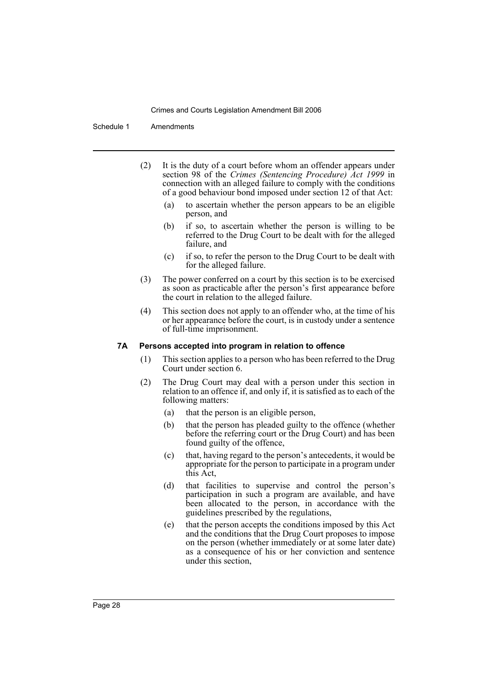Schedule 1 Amendments

- (2) It is the duty of a court before whom an offender appears under section 98 of the *Crimes (Sentencing Procedure) Act 1999* in connection with an alleged failure to comply with the conditions of a good behaviour bond imposed under section 12 of that Act:
	- (a) to ascertain whether the person appears to be an eligible person, and
	- (b) if so, to ascertain whether the person is willing to be referred to the Drug Court to be dealt with for the alleged failure, and
	- (c) if so, to refer the person to the Drug Court to be dealt with for the alleged failure.
- (3) The power conferred on a court by this section is to be exercised as soon as practicable after the person's first appearance before the court in relation to the alleged failure.
- (4) This section does not apply to an offender who, at the time of his or her appearance before the court, is in custody under a sentence of full-time imprisonment.

### **7A Persons accepted into program in relation to offence**

- (1) This section applies to a person who has been referred to the Drug Court under section 6.
- (2) The Drug Court may deal with a person under this section in relation to an offence if, and only if, it is satisfied as to each of the following matters:
	- (a) that the person is an eligible person,
	- (b) that the person has pleaded guilty to the offence (whether before the referring court or the Drug Court) and has been found guilty of the offence,
	- (c) that, having regard to the person's antecedents, it would be appropriate for the person to participate in a program under this Act,
	- (d) that facilities to supervise and control the person's participation in such a program are available, and have been allocated to the person, in accordance with the guidelines prescribed by the regulations,
	- (e) that the person accepts the conditions imposed by this Act and the conditions that the Drug Court proposes to impose on the person (whether immediately or at some later date) as a consequence of his or her conviction and sentence under this section,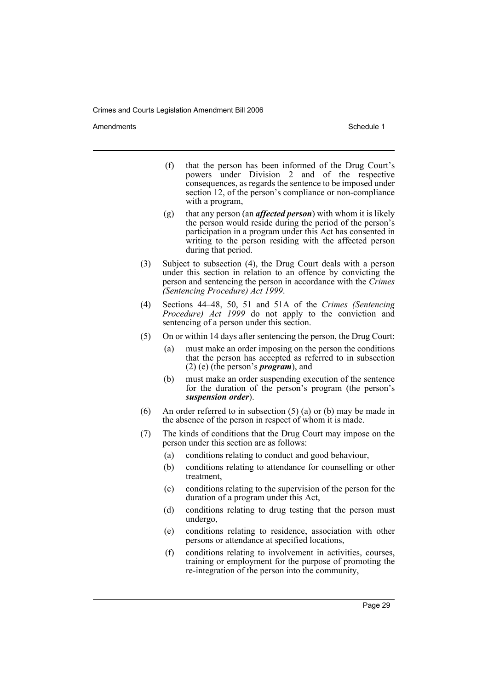Amendments **Amendments** Schedule 1

- (f) that the person has been informed of the Drug Court's powers under Division 2 and of the respective consequences, as regards the sentence to be imposed under section 12, of the person's compliance or non-compliance with a program,
- (g) that any person (an *affected person*) with whom it is likely the person would reside during the period of the person's participation in a program under this Act has consented in writing to the person residing with the affected person during that period.
- (3) Subject to subsection (4), the Drug Court deals with a person under this section in relation to an offence by convicting the person and sentencing the person in accordance with the *Crimes (Sentencing Procedure) Act 1999*.
- (4) Sections 44–48, 50, 51 and 51A of the *Crimes (Sentencing Procedure) Act 1999* do not apply to the conviction and sentencing of a person under this section.
- (5) On or within 14 days after sentencing the person, the Drug Court:
	- (a) must make an order imposing on the person the conditions that the person has accepted as referred to in subsection (2) (e) (the person's *program*), and
	- (b) must make an order suspending execution of the sentence for the duration of the person's program (the person's *suspension order*).
- (6) An order referred to in subsection (5) (a) or (b) may be made in the absence of the person in respect of whom it is made.
- (7) The kinds of conditions that the Drug Court may impose on the person under this section are as follows:
	- (a) conditions relating to conduct and good behaviour,
	- (b) conditions relating to attendance for counselling or other treatment,
	- (c) conditions relating to the supervision of the person for the duration of a program under this Act,
	- (d) conditions relating to drug testing that the person must undergo,
	- (e) conditions relating to residence, association with other persons or attendance at specified locations,
	- (f) conditions relating to involvement in activities, courses, training or employment for the purpose of promoting the re-integration of the person into the community,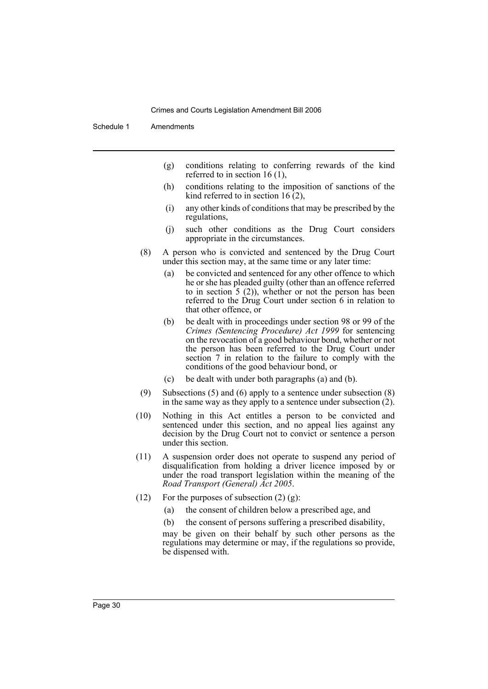Schedule 1 Amendments

- (g) conditions relating to conferring rewards of the kind referred to in section 16 (1),
- (h) conditions relating to the imposition of sanctions of the kind referred to in section 16 $(2)$ ,
- (i) any other kinds of conditions that may be prescribed by the regulations,
- (j) such other conditions as the Drug Court considers appropriate in the circumstances.
- (8) A person who is convicted and sentenced by the Drug Court under this section may, at the same time or any later time:
	- (a) be convicted and sentenced for any other offence to which he or she has pleaded guilty (other than an offence referred to in section  $5(2)$ , whether or not the person has been referred to the Drug Court under section 6 in relation to that other offence, or
	- (b) be dealt with in proceedings under section 98 or 99 of the *Crimes (Sentencing Procedure) Act 1999* for sentencing on the revocation of a good behaviour bond, whether or not the person has been referred to the Drug Court under section 7 in relation to the failure to comply with the conditions of the good behaviour bond, or
	- (c) be dealt with under both paragraphs (a) and (b).
- (9) Subsections (5) and (6) apply to a sentence under subsection (8) in the same way as they apply to a sentence under subsection (2).
- (10) Nothing in this Act entitles a person to be convicted and sentenced under this section, and no appeal lies against any decision by the Drug Court not to convict or sentence a person under this section.
- (11) A suspension order does not operate to suspend any period of disqualification from holding a driver licence imposed by or under the road transport legislation within the meaning of the *Road Transport (General) Act 2005*.
- (12) For the purposes of subsection  $(2)$   $(g)$ :
	- (a) the consent of children below a prescribed age, and
	- (b) the consent of persons suffering a prescribed disability,

may be given on their behalf by such other persons as the regulations may determine or may, if the regulations so provide, be dispensed with.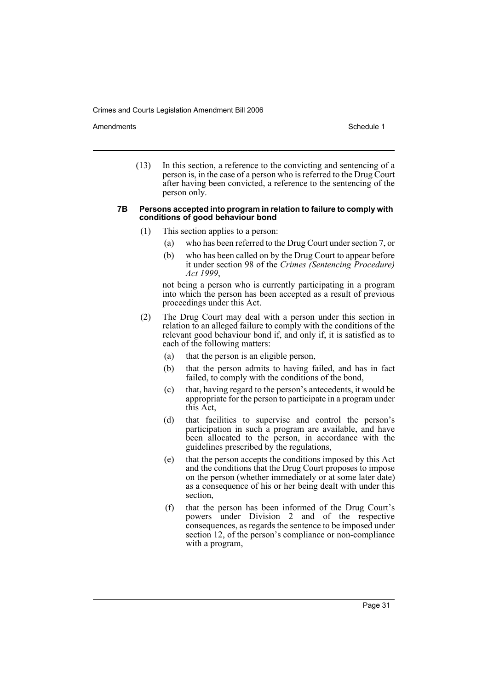Amendments **Amendments** Schedule 1

(13) In this section, a reference to the convicting and sentencing of a person is, in the case of a person who is referred to the Drug Court after having been convicted, a reference to the sentencing of the person only.

#### **7B Persons accepted into program in relation to failure to comply with conditions of good behaviour bond**

- (1) This section applies to a person:
	- (a) who has been referred to the Drug Court under section 7, or
	- (b) who has been called on by the Drug Court to appear before it under section 98 of the *Crimes (Sentencing Procedure) Act 1999*,

not being a person who is currently participating in a program into which the person has been accepted as a result of previous proceedings under this Act.

- (2) The Drug Court may deal with a person under this section in relation to an alleged failure to comply with the conditions of the relevant good behaviour bond if, and only if, it is satisfied as to each of the following matters:
	- (a) that the person is an eligible person,
	- (b) that the person admits to having failed, and has in fact failed, to comply with the conditions of the bond,
	- (c) that, having regard to the person's antecedents, it would be appropriate for the person to participate in a program under this Act,
	- (d) that facilities to supervise and control the person's participation in such a program are available, and have been allocated to the person, in accordance with the guidelines prescribed by the regulations,
	- (e) that the person accepts the conditions imposed by this Act and the conditions that the Drug Court proposes to impose on the person (whether immediately or at some later date) as a consequence of his or her being dealt with under this section,
	- (f) that the person has been informed of the Drug Court's powers under Division 2 and of the respective consequences, as regards the sentence to be imposed under section 12, of the person's compliance or non-compliance with a program,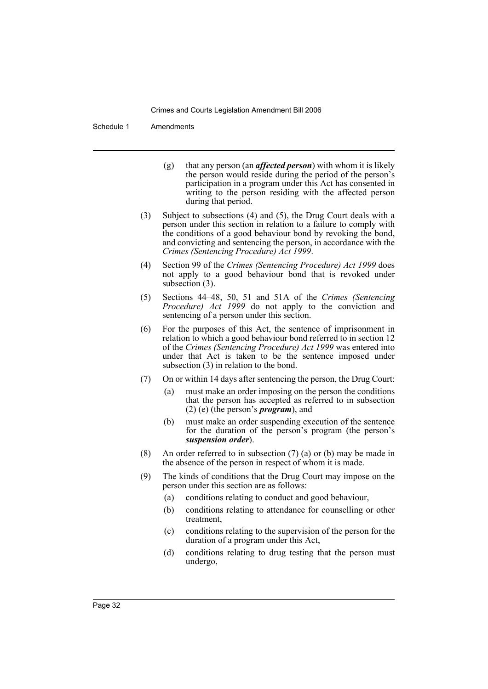Schedule 1 Amendments

- (g) that any person (an *affected person*) with whom it is likely the person would reside during the period of the person's participation in a program under this Act has consented in writing to the person residing with the affected person during that period.
- (3) Subject to subsections (4) and (5), the Drug Court deals with a person under this section in relation to a failure to comply with the conditions of a good behaviour bond by revoking the bond, and convicting and sentencing the person, in accordance with the *Crimes (Sentencing Procedure) Act 1999*.
- (4) Section 99 of the *Crimes (Sentencing Procedure) Act 1999* does not apply to a good behaviour bond that is revoked under subsection (3).
- (5) Sections 44–48, 50, 51 and 51A of the *Crimes (Sentencing Procedure) Act 1999* do not apply to the conviction and sentencing of a person under this section.
- (6) For the purposes of this Act, the sentence of imprisonment in relation to which a good behaviour bond referred to in section 12 of the *Crimes (Sentencing Procedure) Act 1999* was entered into under that Act is taken to be the sentence imposed under subsection (3) in relation to the bond.
- (7) On or within 14 days after sentencing the person, the Drug Court:
	- (a) must make an order imposing on the person the conditions that the person has accepted as referred to in subsection (2) (e) (the person's *program*), and
	- (b) must make an order suspending execution of the sentence for the duration of the person's program (the person's *suspension order*).
- (8) An order referred to in subsection (7) (a) or (b) may be made in the absence of the person in respect of whom it is made.
- (9) The kinds of conditions that the Drug Court may impose on the person under this section are as follows:
	- (a) conditions relating to conduct and good behaviour,
	- (b) conditions relating to attendance for counselling or other treatment,
	- (c) conditions relating to the supervision of the person for the duration of a program under this Act,
	- (d) conditions relating to drug testing that the person must undergo,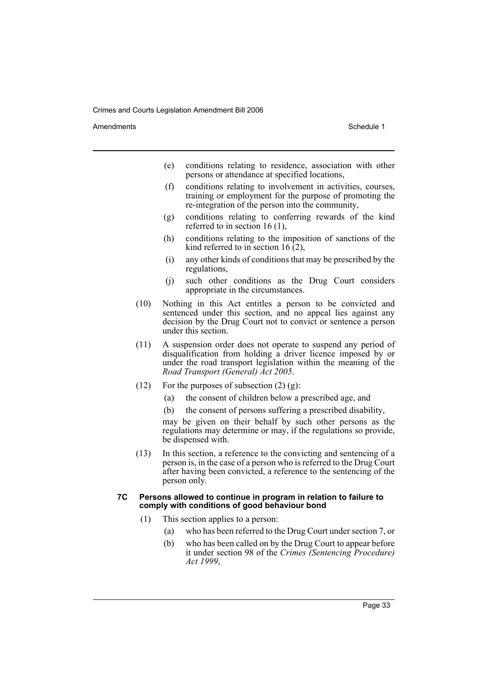Amendments **Amendments** Schedule 1

- (e) conditions relating to residence, association with other persons or attendance at specified locations,
- (f) conditions relating to involvement in activities, courses, training or employment for the purpose of promoting the re-integration of the person into the community,
- (g) conditions relating to conferring rewards of the kind referred to in section 16 (1),
- (h) conditions relating to the imposition of sanctions of the kind referred to in section 16 $(2)$ ,
- (i) any other kinds of conditions that may be prescribed by the regulations,
- (j) such other conditions as the Drug Court considers appropriate in the circumstances.
- (10) Nothing in this Act entitles a person to be convicted and sentenced under this section, and no appeal lies against any decision by the Drug Court not to convict or sentence a person under this section.
- (11) A suspension order does not operate to suspend any period of disqualification from holding a driver licence imposed by or under the road transport legislation within the meaning of the *Road Transport (General) Act 2005*.
- (12) For the purposes of subsection  $(2)$   $(g)$ :
	- (a) the consent of children below a prescribed age, and
	- (b) the consent of persons suffering a prescribed disability,

may be given on their behalf by such other persons as the regulations may determine or may, if the regulations so provide, be dispensed with.

(13) In this section, a reference to the convicting and sentencing of a person is, in the case of a person who is referred to the Drug Court after having been convicted, a reference to the sentencing of the person only.

#### **7C Persons allowed to continue in program in relation to failure to comply with conditions of good behaviour bond**

- (1) This section applies to a person:
	- (a) who has been referred to the Drug Court under section 7, or
	- (b) who has been called on by the Drug Court to appear before it under section 98 of the *Crimes (Sentencing Procedure) Act 1999*,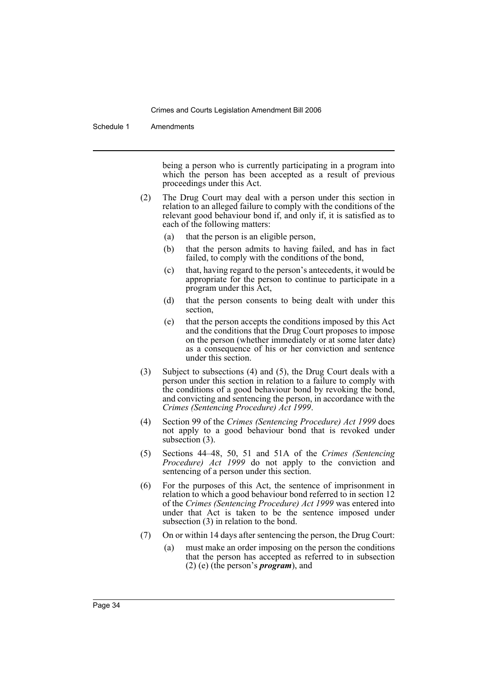Schedule 1 Amendments

being a person who is currently participating in a program into which the person has been accepted as a result of previous proceedings under this Act.

- (2) The Drug Court may deal with a person under this section in relation to an alleged failure to comply with the conditions of the relevant good behaviour bond if, and only if, it is satisfied as to each of the following matters:
	- (a) that the person is an eligible person,
	- (b) that the person admits to having failed, and has in fact failed, to comply with the conditions of the bond,
	- (c) that, having regard to the person's antecedents, it would be appropriate for the person to continue to participate in a program under this Act,
	- (d) that the person consents to being dealt with under this section,
	- (e) that the person accepts the conditions imposed by this Act and the conditions that the Drug Court proposes to impose on the person (whether immediately or at some later date) as a consequence of his or her conviction and sentence under this section.
- (3) Subject to subsections (4) and (5), the Drug Court deals with a person under this section in relation to a failure to comply with the conditions of a good behaviour bond by revoking the bond, and convicting and sentencing the person, in accordance with the *Crimes (Sentencing Procedure) Act 1999*.
- (4) Section 99 of the *Crimes (Sentencing Procedure) Act 1999* does not apply to a good behaviour bond that is revoked under subsection (3).
- (5) Sections 44–48, 50, 51 and 51A of the *Crimes (Sentencing Procedure) Act 1999* do not apply to the conviction and sentencing of a person under this section.
- (6) For the purposes of this Act, the sentence of imprisonment in relation to which a good behaviour bond referred to in section 12 of the *Crimes (Sentencing Procedure) Act 1999* was entered into under that Act is taken to be the sentence imposed under subsection (3) in relation to the bond.
- (7) On or within 14 days after sentencing the person, the Drug Court:
	- (a) must make an order imposing on the person the conditions that the person has accepted as referred to in subsection (2) (e) (the person's *program*), and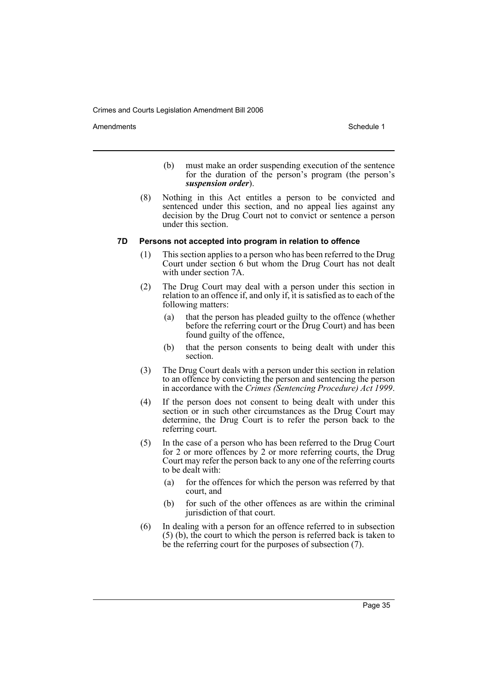Amendments **Amendments** Schedule 1

- (b) must make an order suspending execution of the sentence for the duration of the person's program (the person's *suspension order*).
- (8) Nothing in this Act entitles a person to be convicted and sentenced under this section, and no appeal lies against any decision by the Drug Court not to convict or sentence a person under this section.

### **7D Persons not accepted into program in relation to offence**

- (1) This section applies to a person who has been referred to the Drug Court under section 6 but whom the Drug Court has not dealt with under section 7A.
- (2) The Drug Court may deal with a person under this section in relation to an offence if, and only if, it is satisfied as to each of the following matters:
	- (a) that the person has pleaded guilty to the offence (whether before the referring court or the Drug Court) and has been found guilty of the offence,
	- (b) that the person consents to being dealt with under this section.
- (3) The Drug Court deals with a person under this section in relation to an offence by convicting the person and sentencing the person in accordance with the *Crimes (Sentencing Procedure) Act 1999*.
- (4) If the person does not consent to being dealt with under this section or in such other circumstances as the Drug Court may determine, the Drug Court is to refer the person back to the referring court.
- (5) In the case of a person who has been referred to the Drug Court for 2 or more offences by 2 or more referring courts, the Drug Court may refer the person back to any one of the referring courts to be dealt with:
	- (a) for the offences for which the person was referred by that court, and
	- (b) for such of the other offences as are within the criminal jurisdiction of that court.
- (6) In dealing with a person for an offence referred to in subsection  $(5)$  (b), the court to which the person is referred back is taken to be the referring court for the purposes of subsection (7).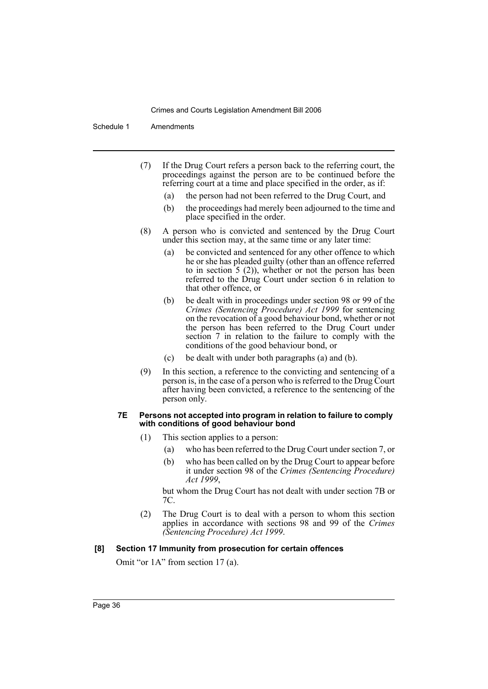Schedule 1 Amendments

- (7) If the Drug Court refers a person back to the referring court, the proceedings against the person are to be continued before the referring court at a time and place specified in the order, as if:
	- (a) the person had not been referred to the Drug Court, and
	- (b) the proceedings had merely been adjourned to the time and place specified in the order.
- (8) A person who is convicted and sentenced by the Drug Court under this section may, at the same time or any later time:
	- (a) be convicted and sentenced for any other offence to which he or she has pleaded guilty (other than an offence referred to in section 5 (2)), whether or not the person has been referred to the Drug Court under section 6 in relation to that other offence, or
	- (b) be dealt with in proceedings under section 98 or 99 of the *Crimes (Sentencing Procedure) Act 1999* for sentencing on the revocation of a good behaviour bond, whether or not the person has been referred to the Drug Court under section 7 in relation to the failure to comply with the conditions of the good behaviour bond, or
	- (c) be dealt with under both paragraphs (a) and (b).
- (9) In this section, a reference to the convicting and sentencing of a person is, in the case of a person who is referred to the Drug Court after having been convicted, a reference to the sentencing of the person only.

#### **7E Persons not accepted into program in relation to failure to comply with conditions of good behaviour bond**

- (1) This section applies to a person:
	- (a) who has been referred to the Drug Court under section 7, or
	- (b) who has been called on by the Drug Court to appear before it under section 98 of the *Crimes (Sentencing Procedure) Act 1999*,

but whom the Drug Court has not dealt with under section 7B or 7C.

(2) The Drug Court is to deal with a person to whom this section applies in accordance with sections 98 and 99 of the *Crimes (Sentencing Procedure) Act 1999*.

### **[8] Section 17 Immunity from prosecution for certain offences**

Omit "or 1A" from section 17 (a).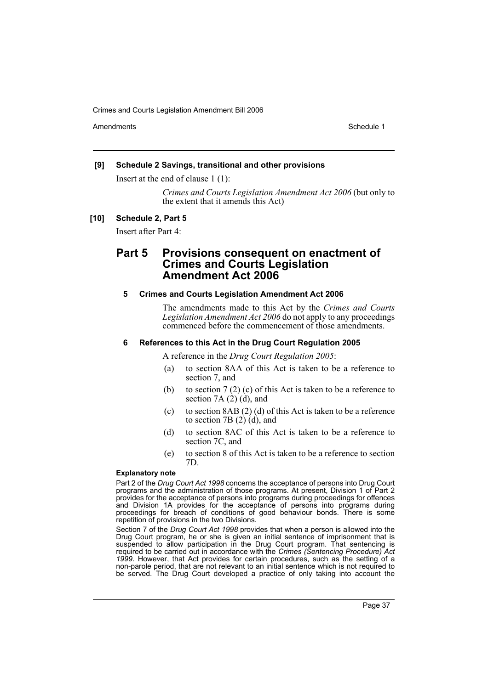Amendments **Amendments** Schedule 1

### **[9] Schedule 2 Savings, transitional and other provisions**

Insert at the end of clause 1 (1):

*Crimes and Courts Legislation Amendment Act 2006* (but only to the extent that it amends this Act)

### **[10] Schedule 2, Part 5**

Insert after Part 4:

# **Part 5 Provisions consequent on enactment of Crimes and Courts Legislation Amendment Act 2006**

### **5 Crimes and Courts Legislation Amendment Act 2006**

The amendments made to this Act by the *Crimes and Courts Legislation Amendment Act 2006* do not apply to any proceedings commenced before the commencement of those amendments.

### **6 References to this Act in the Drug Court Regulation 2005**

A reference in the *Drug Court Regulation 2005*:

- (a) to section 8AA of this Act is taken to be a reference to section 7, and
- (b) to section 7 (2) (c) of this Act is taken to be a reference to section  $7A(2)(d)$ , and
- (c) to section  $8AB(2)$  (d) of this Act is taken to be a reference to section 7B (2) (d), and
- (d) to section 8AC of this Act is taken to be a reference to section 7C, and
- (e) to section 8 of this Act is taken to be a reference to section 7D.

#### **Explanatory note**

Part 2 of the *Drug Court Act 1998* concerns the acceptance of persons into Drug Court programs and the administration of those programs. At present, Division 1 of Part 2 provides for the acceptance of persons into programs during proceedings for offences and Division 1A provides for the acceptance of persons into programs during proceedings for breach of conditions of good behaviour bonds. There is some repetition of provisions in the two Divisions.

Section 7 of the *Drug Court Act 1998* provides that when a person is allowed into the Drug Court program, he or she is given an initial sentence of imprisonment that is suspended to allow participation in the Drug Court program. That sentencing is required to be carried out in accordance with the *Crimes (Sentencing Procedure) Act 1999*. However, that Act provides for certain procedures, such as the setting of a non-parole period, that are not relevant to an initial sentence which is not required to be served. The Drug Court developed a practice of only taking into account the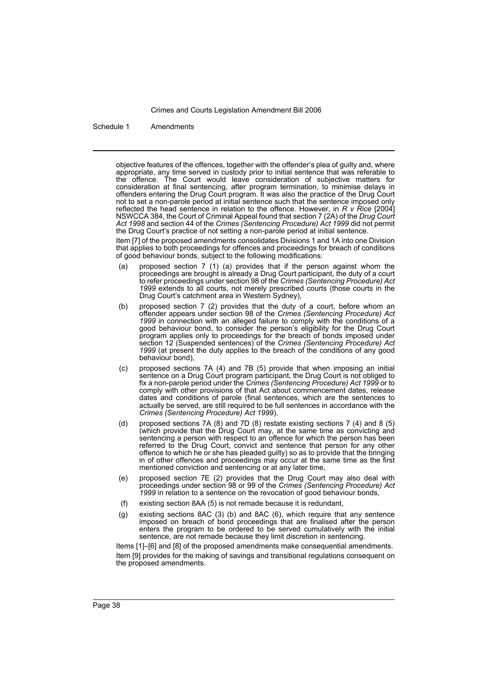Schedule 1 Amendments

objective features of the offences, together with the offender's plea of guilty and, where appropriate, any time served in custody prior to initial sentence that was referable to the offence. The Court would leave consideration of subjective matters for consideration at final sentencing, after program termination, to minimise delays in offenders entering the Drug Court program. It was also the practice of the Drug Court not to set a non-parole period at initial sentence such that the sentence imposed only reflected the head sentence in relation to the offence. However, in *R v Rice* [2004] NSWCCA 384, the Court of Criminal Appeal found that section 7 (2A) of the *Drug Court Act 1998* and section 44 of the *Crimes (Sentencing Procedure) Act 1999* did not permit the Drug Court's practice of not setting a non-parole period at initial sentence.

Item [7] of the proposed amendments consolidates Divisions 1 and 1A into one Division that applies to both proceedings for offences and proceedings for breach of conditions of good behaviour bonds, subject to the following modifications:

- (a) proposed section 7 (1) (a) provides that if the person against whom the proceedings are brought is already a Drug Court participant, the duty of a court to refer proceedings under section 98 of the *Crimes (Sentencing Procedure) Act 1999* extends to all courts, not merely prescribed courts (those courts in the Drug Court's catchment area in Western Sydney),
- (b) proposed section 7 (2) provides that the duty of a court, before whom an offender appears under section 98 of the *Crimes (Sentencing Procedure) Act 1999* in connection with an alleged failure to comply with the conditions of a good behaviour bond, to consider the person's eligibility for the Drug Court program applies only to proceedings for the breach of bonds imposed under section 12 (Suspended sentences) of the *Crimes (Sentencing Procedure) Act 1999* (at present the duty applies to the breach of the conditions of any good behaviour bond),
- (c) proposed sections 7A (4) and 7B (5) provide that when imposing an initial sentence on a Drug Court program participant, the Drug Court is not obliged to fix a non-parole period under the *Crimes (Sentencing Procedure) Act 1999* or to comply with other provisions of that Act about commencement dates, release dates and conditions of parole (final sentences, which are the sentences to actually be served, are still required to be full sentences in accordance with the *Crimes (Sentencing Procedure) Act 1999*),
- (d) proposed sections 7A (8) and 7D (8) restate existing sections 7 (4) and 8 (5) (which provide that the Drug Court may, at the same time as convicting and sentencing a person with respect to an offence for which the person has been referred to the Drug Court, convict and sentence that person for any other offence to which he or she has pleaded guilty) so as to provide that the bringing in of other offences and proceedings may occur at the same time as the first mentioned conviction and sentencing or at any later time,
- (e) proposed section 7E (2) provides that the Drug Court may also deal with proceedings under section 98 or 99 of the *Crimes (Sentencing Procedure) Act 1999* in relation to a sentence on the revocation of good behaviour bonds,
- (f) existing section 8AA (5) is not remade because it is redundant,
- (g) existing sections 8AC (3) (b) and 8AC (6), which require that any sentence imposed on breach of bond proceedings that are finalised after the person enters the program to be ordered to be served cumulatively with the initial sentence, are not remade because they limit discretion in sentencing.

Items [1]–[6] and [8] of the proposed amendments make consequential amendments. Item [9] provides for the making of savings and transitional regulations consequent on the proposed amendments.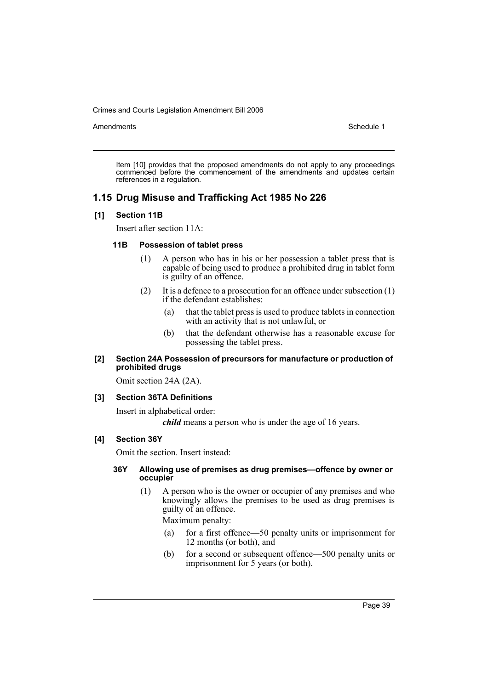Amendments **Schedule 1** and the set of the set of the set of the set of the set of the set of the set of the set of the set of the set of the set of the set of the set of the set of the set of the set of the set of the set

Item [10] provides that the proposed amendments do not apply to any proceedings commenced before the commencement of the amendments and updates certain references in a regulation.

# **1.15 Drug Misuse and Trafficking Act 1985 No 226**

### **[1] Section 11B**

Insert after section 11A:

#### **11B Possession of tablet press**

- (1) A person who has in his or her possession a tablet press that is capable of being used to produce a prohibited drug in tablet form is guilty of an offence.
- (2) It is a defence to a prosecution for an offence under subsection (1) if the defendant establishes:
	- (a) that the tablet press is used to produce tablets in connection with an activity that is not unlawful, or
	- (b) that the defendant otherwise has a reasonable excuse for possessing the tablet press.

### **[2] Section 24A Possession of precursors for manufacture or production of prohibited drugs**

Omit section 24A (2A).

### **[3] Section 36TA Definitions**

Insert in alphabetical order:

*child* means a person who is under the age of 16 years.

### **[4] Section 36Y**

Omit the section. Insert instead:

### **36Y Allowing use of premises as drug premises—offence by owner or occupier**

(1) A person who is the owner or occupier of any premises and who knowingly allows the premises to be used as drug premises is guilty of an offence.

Maximum penalty:

- (a) for a first offence—50 penalty units or imprisonment for 12 months (or both), and
- (b) for a second or subsequent offence—500 penalty units or imprisonment for 5 years (or both).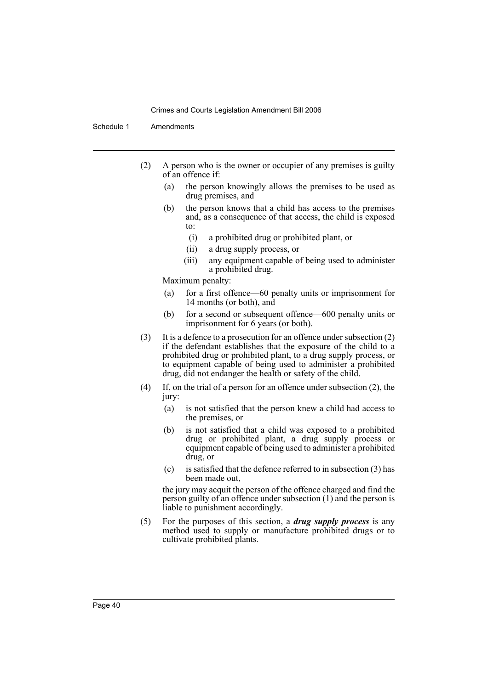Schedule 1 Amendments

- (2) A person who is the owner or occupier of any premises is guilty of an offence if:
	- (a) the person knowingly allows the premises to be used as drug premises, and
	- (b) the person knows that a child has access to the premises and, as a consequence of that access, the child is exposed to:
		- (i) a prohibited drug or prohibited plant, or
		- (ii) a drug supply process, or
		- (iii) any equipment capable of being used to administer a prohibited drug.

Maximum penalty:

- (a) for a first offence—60 penalty units or imprisonment for 14 months (or both), and
- (b) for a second or subsequent offence—600 penalty units or imprisonment for 6 years (or both).
- (3) It is a defence to a prosecution for an offence under subsection (2) if the defendant establishes that the exposure of the child to a prohibited drug or prohibited plant, to a drug supply process, or to equipment capable of being used to administer a prohibited drug, did not endanger the health or safety of the child.
- (4) If, on the trial of a person for an offence under subsection (2), the jury:
	- (a) is not satisfied that the person knew a child had access to the premises, or
	- (b) is not satisfied that a child was exposed to a prohibited drug or prohibited plant, a drug supply process or equipment capable of being used to administer a prohibited drug, or
	- (c) is satisfied that the defence referred to in subsection (3) has been made out,

the jury may acquit the person of the offence charged and find the person guilty of an offence under subsection (1) and the person is liable to punishment accordingly.

(5) For the purposes of this section, a *drug supply process* is any method used to supply or manufacture prohibited drugs or to cultivate prohibited plants.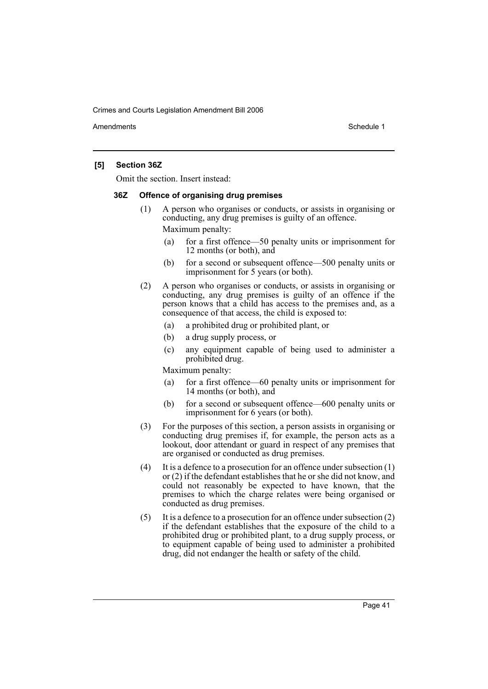Amendments **Amendments** Schedule 1

### **[5] Section 36Z**

Omit the section. Insert instead:

#### **36Z Offence of organising drug premises**

- (1) A person who organises or conducts, or assists in organising or conducting, any drug premises is guilty of an offence. Maximum penalty:
	- (a) for a first offence—50 penalty units or imprisonment for 12 months (or both), and
	- (b) for a second or subsequent offence—500 penalty units or imprisonment for 5 years (or both).
- (2) A person who organises or conducts, or assists in organising or conducting, any drug premises is guilty of an offence if the person knows that a child has access to the premises and, as a consequence of that access, the child is exposed to:
	- (a) a prohibited drug or prohibited plant, or
	- (b) a drug supply process, or
	- (c) any equipment capable of being used to administer a prohibited drug.

Maximum penalty:

- (a) for a first offence—60 penalty units or imprisonment for 14 months (or both), and
- (b) for a second or subsequent offence—600 penalty units or imprisonment for 6 years (or both).
- (3) For the purposes of this section, a person assists in organising or conducting drug premises if, for example, the person acts as a lookout, door attendant or guard in respect of any premises that are organised or conducted as drug premises.
- (4) It is a defence to a prosecution for an offence under subsection (1) or (2) if the defendant establishes that he or she did not know, and could not reasonably be expected to have known, that the premises to which the charge relates were being organised or conducted as drug premises.
- (5) It is a defence to a prosecution for an offence under subsection (2) if the defendant establishes that the exposure of the child to a prohibited drug or prohibited plant, to a drug supply process, or to equipment capable of being used to administer a prohibited drug, did not endanger the health or safety of the child.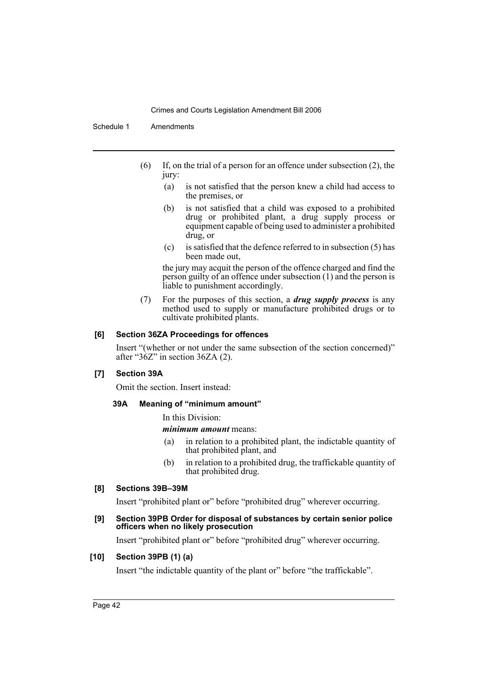Schedule 1 Amendments

- (6) If, on the trial of a person for an offence under subsection (2), the jury:
	- (a) is not satisfied that the person knew a child had access to the premises, or
	- (b) is not satisfied that a child was exposed to a prohibited drug or prohibited plant, a drug supply process or equipment capable of being used to administer a prohibited drug, or
	- (c) is satisfied that the defence referred to in subsection (5) has been made out,

the jury may acquit the person of the offence charged and find the person guilty of an offence under subsection (1) and the person is liable to punishment accordingly.

(7) For the purposes of this section, a *drug supply process* is any method used to supply or manufacture prohibited drugs or to cultivate prohibited plants.

### **[6] Section 36ZA Proceedings for offences**

Insert "(whether or not under the same subsection of the section concerned)" after " $36Z$ " in section  $36ZA(2)$ .

### **[7] Section 39A**

Omit the section. Insert instead:

### **39A Meaning of "minimum amount"**

In this Division:

*minimum amount* means:

- (a) in relation to a prohibited plant, the indictable quantity of that prohibited plant, and
- (b) in relation to a prohibited drug, the traffickable quantity of that prohibited drug.

### **[8] Sections 39B–39M**

Insert "prohibited plant or" before "prohibited drug" wherever occurring.

### **[9] Section 39PB Order for disposal of substances by certain senior police officers when no likely prosecution**

Insert "prohibited plant or" before "prohibited drug" wherever occurring.

### **[10] Section 39PB (1) (a)**

Insert "the indictable quantity of the plant or" before "the traffickable".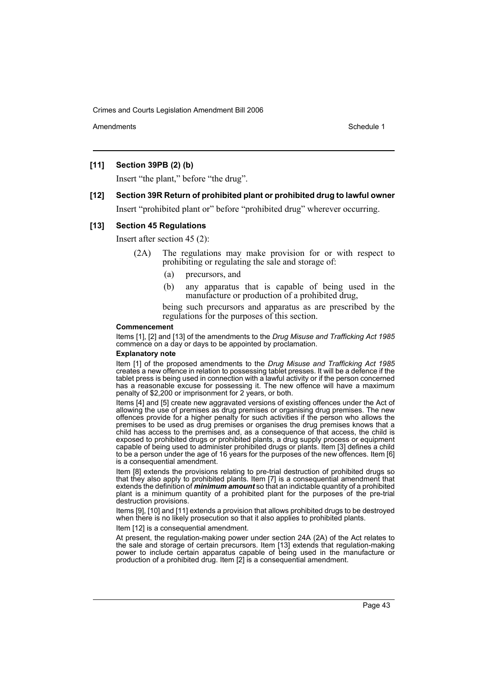Amendments **Amendments** Schedule 1

### **[11] Section 39PB (2) (b)**

Insert "the plant," before "the drug".

# **[12] Section 39R Return of prohibited plant or prohibited drug to lawful owner**

Insert "prohibited plant or" before "prohibited drug" wherever occurring.

### **[13] Section 45 Regulations**

Insert after section 45 (2):

- (2A) The regulations may make provision for or with respect to prohibiting or regulating the sale and storage of:
	- (a) precursors, and
	- (b) any apparatus that is capable of being used in the manufacture or production of a prohibited drug,

being such precursors and apparatus as are prescribed by the regulations for the purposes of this section.

#### **Commencement**

Items [1], [2] and [13] of the amendments to the *Drug Misuse and Trafficking Act 1985* commence on a day or days to be appointed by proclamation.

### **Explanatory note**

Item [1] of the proposed amendments to the *Drug Misuse and Trafficking Act 1985* creates a new offence in relation to possessing tablet presses. It will be a defence if the tablet press is being used in connection with a lawful activity or if the person concerned has a reasonable excuse for possessing it. The new offence will have a maximum penalty of \$2,200 or imprisonment for 2 years, or both.

Items [4] and [5] create new aggravated versions of existing offences under the Act of allowing the use of premises as drug premises or organising drug premises. The new offences provide for a higher penalty for such activities if the person who allows the premises to be used as drug premises or organises the drug premises knows that a child has access to the premises and, as a consequence of that access, the child is exposed to prohibited drugs or prohibited plants, a drug supply process or equipment capable of being used to administer prohibited drugs or plants. Item [3] defines a child to be a person under the age of 16 years for the purposes of the new offences. Item [6] is a consequential amendment.

Item [8] extends the provisions relating to pre-trial destruction of prohibited drugs so that they also apply to prohibited plants. Item [7] is a consequential amendment that extends the definition of *minimum amount* so that an indictable quantity of a prohibited plant is a minimum quantity of a prohibited plant for the purposes of the pre-trial destruction provisions.

Items [9], [10] and [11] extends a provision that allows prohibited drugs to be destroyed when there is no likely prosecution so that it also applies to prohibited plants.

#### Item [12] is a consequential amendment.

At present, the regulation-making power under section 24A (2A) of the Act relates to the sale and storage of certain precursors. Item [13] extends that regulation-making power to include certain apparatus capable of being used in the manufacture or production of a prohibited drug. Item [2] is a consequential amendment.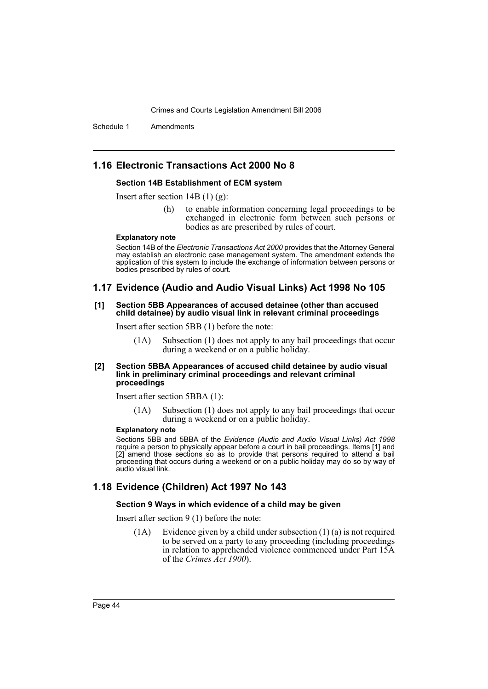Schedule 1 Amendments

# **1.16 Electronic Transactions Act 2000 No 8**

### **Section 14B Establishment of ECM system**

Insert after section 14B (1) (g):

(h) to enable information concerning legal proceedings to be exchanged in electronic form between such persons or bodies as are prescribed by rules of court.

#### **Explanatory note**

Section 14B of the *Electronic Transactions Act 2000* provides that the Attorney General may establish an electronic case management system. The amendment extends the application of this system to include the exchange of information between persons or bodies prescribed by rules of court.

### **1.17 Evidence (Audio and Audio Visual Links) Act 1998 No 105**

#### **[1] Section 5BB Appearances of accused detainee (other than accused child detainee) by audio visual link in relevant criminal proceedings**

Insert after section 5BB (1) before the note:

(1A) Subsection (1) does not apply to any bail proceedings that occur during a weekend or on a public holiday.

#### **[2] Section 5BBA Appearances of accused child detainee by audio visual link in preliminary criminal proceedings and relevant criminal proceedings**

Insert after section 5BBA (1):

(1A) Subsection (1) does not apply to any bail proceedings that occur during a weekend or on a public holiday.

#### **Explanatory note**

Sections 5BB and 5BBA of the *Evidence (Audio and Audio Visual Links) Act 1998* require a person to physically appear before a court in bail proceedings. Items [1] and [2] amend those sections so as to provide that persons required to attend a bail proceeding that occurs during a weekend or on a public holiday may do so by way of audio visual link.

### **1.18 Evidence (Children) Act 1997 No 143**

#### **Section 9 Ways in which evidence of a child may be given**

Insert after section 9 (1) before the note:

(1A) Evidence given by a child under subsection (1) (a) is not required to be served on a party to any proceeding (including proceedings in relation to apprehended violence commenced under Part 15A of the *Crimes Act 1900*).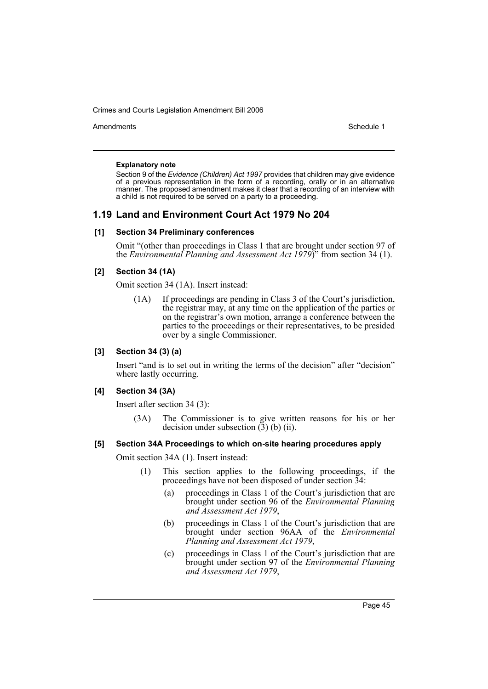Amendments **Amendments** Schedule 1

#### **Explanatory note**

Section 9 of the *Evidence (Children) Act 1997* provides that children may give evidence of a previous representation in the form of a recording, orally or in an alternative manner. The proposed amendment makes it clear that a recording of an interview with a child is not required to be served on a party to a proceeding.

# **1.19 Land and Environment Court Act 1979 No 204**

### **[1] Section 34 Preliminary conferences**

Omit "(other than proceedings in Class 1 that are brought under section 97 of the *Environmental Planning and Assessment Act 1979*)" from section 34 (1).

### **[2] Section 34 (1A)**

Omit section 34 (1A). Insert instead:

(1A) If proceedings are pending in Class 3 of the Court's jurisdiction, the registrar may, at any time on the application of the parties or on the registrar's own motion, arrange a conference between the parties to the proceedings or their representatives, to be presided over by a single Commissioner.

### **[3] Section 34 (3) (a)**

Insert "and is to set out in writing the terms of the decision" after "decision" where lastly occurring.

### **[4] Section 34 (3A)**

Insert after section 34 (3):

(3A) The Commissioner is to give written reasons for his or her decision under subsection  $(3)$  (b) (ii).

### **[5] Section 34A Proceedings to which on-site hearing procedures apply**

Omit section 34A (1). Insert instead:

- (1) This section applies to the following proceedings, if the proceedings have not been disposed of under section 34:
	- (a) proceedings in Class 1 of the Court's jurisdiction that are brought under section 96 of the *Environmental Planning and Assessment Act 1979*,
	- (b) proceedings in Class 1 of the Court's jurisdiction that are brought under section 96AA of the *Environmental Planning and Assessment Act 1979*,
	- (c) proceedings in Class 1 of the Court's jurisdiction that are brought under section 97 of the *Environmental Planning and Assessment Act 1979*,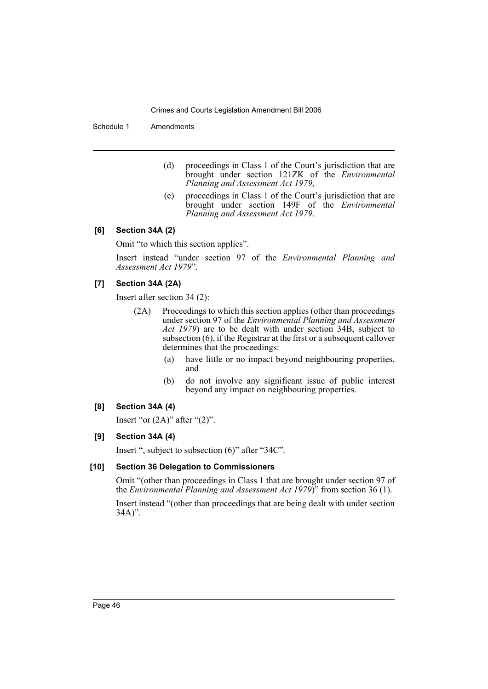Schedule 1 Amendments

- (d) proceedings in Class 1 of the Court's jurisdiction that are brought under section 121ZK of the *Environmental Planning and Assessment Act 1979*,
- (e) proceedings in Class 1 of the Court's jurisdiction that are brought under section 149F of the *Environmental Planning and Assessment Act 1979*.

### **[6] Section 34A (2)**

Omit "to which this section applies".

Insert instead "under section 97 of the *Environmental Planning and Assessment Act 1979*".

### **[7] Section 34A (2A)**

Insert after section 34 (2):

- (2A) Proceedings to which this section applies (other than proceedings under section 97 of the *Environmental Planning and Assessment Act 1979*) are to be dealt with under section 34B, subject to subsection (6), if the Registrar at the first or a subsequent callover determines that the proceedings:
	- (a) have little or no impact beyond neighbouring properties, and
	- (b) do not involve any significant issue of public interest beyond any impact on neighbouring properties.

### **[8] Section 34A (4)**

Insert "or  $(2A)$ " after " $(2)$ ".

### **[9] Section 34A (4)**

Insert ", subject to subsection (6)" after "34C".

### **[10] Section 36 Delegation to Commissioners**

Omit "(other than proceedings in Class 1 that are brought under section 97 of the *Environmental Planning and Assessment Act 1979*)" from section 36 (1).

Insert instead "(other than proceedings that are being dealt with under section  $34A$ ".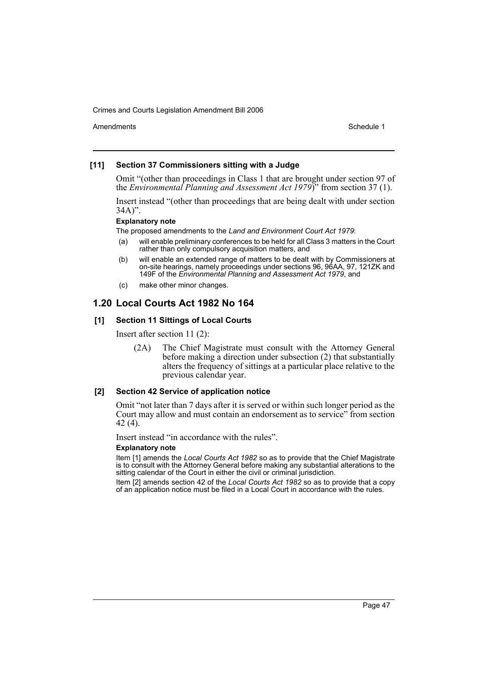Amendments **Amendments** Schedule 1

### **[11] Section 37 Commissioners sitting with a Judge**

Omit "(other than proceedings in Class 1 that are brought under section 97 of the *Environmental Planning and Assessment Act 1979*)" from section 37 (1).

Insert instead "(other than proceedings that are being dealt with under section 34A)".

### **Explanatory note**

The proposed amendments to the *Land and Environment Court Act 1979*:

- (a) will enable preliminary conferences to be held for all Class 3 matters in the Court rather than only compulsory acquisition matters, and
- (b) will enable an extended range of matters to be dealt with by Commissioners at on-site hearings, namely proceedings under sections 96, 96AA, 97, 121ZK and 149F of the *Environmental Planning and Assessment Act 1979*, and
- (c) make other minor changes.

### **1.20 Local Courts Act 1982 No 164**

### **[1] Section 11 Sittings of Local Courts**

Insert after section 11 (2):

(2A) The Chief Magistrate must consult with the Attorney General before making a direction under subsection (2) that substantially alters the frequency of sittings at a particular place relative to the previous calendar year.

### **[2] Section 42 Service of application notice**

Omit "not later than 7 days after it is served or within such longer period as the Court may allow and must contain an endorsement as to service" from section 42 (4).

Insert instead "in accordance with the rules".

#### **Explanatory note**

Item [1] amends the *Local Courts Act 1982* so as to provide that the Chief Magistrate is to consult with the Attorney General before making any substantial alterations to the sitting calendar of the Court in either the civil or criminal jurisdiction.

Item [2] amends section 42 of the *Local Courts Act 1982* so as to provide that a copy of an application notice must be filed in a Local Court in accordance with the rules.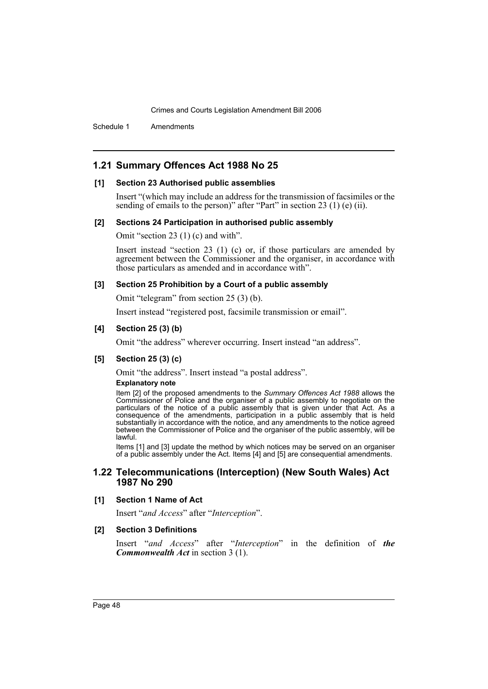Schedule 1 Amendments

# **1.21 Summary Offences Act 1988 No 25**

#### **[1] Section 23 Authorised public assemblies**

Insert "(which may include an address for the transmission of facsimiles or the sending of emails to the person)" after "Part" in section 23 (1) (e) (ii).

#### **[2] Sections 24 Participation in authorised public assembly**

Omit "section 23 (1) (c) and with".

Insert instead "section 23 (1) (c) or, if those particulars are amended by agreement between the Commissioner and the organiser, in accordance with those particulars as amended and in accordance with".

#### **[3] Section 25 Prohibition by a Court of a public assembly**

Omit "telegram" from section 25 (3) (b).

Insert instead "registered post, facsimile transmission or email".

### **[4] Section 25 (3) (b)**

Omit "the address" wherever occurring. Insert instead "an address".

### **[5] Section 25 (3) (c)**

Omit "the address". Insert instead "a postal address".

### **Explanatory note**

Item [2] of the proposed amendments to the *Summary Offences Act 1988* allows the Commissioner of Police and the organiser of a public assembly to negotiate on the particulars of the notice of a public assembly that is given under that Act. As a consequence of the amendments, participation in a public assembly that is held substantially in accordance with the notice, and any amendments to the notice agreed between the Commissioner of Police and the organiser of the public assembly, will be lawful.

Items [1] and [3] update the method by which notices may be served on an organiser of a public assembly under the Act. Items [4] and [5] are consequential amendments.

### **1.22 Telecommunications (Interception) (New South Wales) Act 1987 No 290**

#### **[1] Section 1 Name of Act**

Insert "*and Access*" after "*Interception*".

#### **[2] Section 3 Definitions**

Insert "*and Access*" after "*Interception*" in the definition of *the Commonwealth Act* in section 3 (1).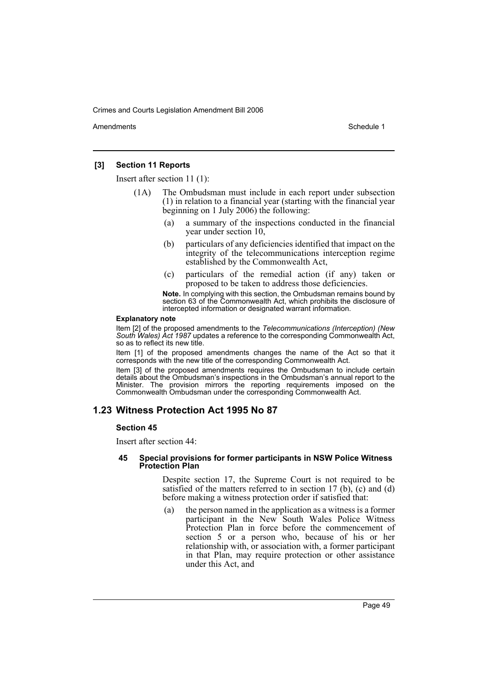Amendments **Amendments** Schedule 1

### **[3] Section 11 Reports**

Insert after section 11 (1):

- (1A) The Ombudsman must include in each report under subsection (1) in relation to a financial year (starting with the financial year beginning on 1 July 2006) the following:
	- (a) a summary of the inspections conducted in the financial year under section 10,
	- (b) particulars of any deficiencies identified that impact on the integrity of the telecommunications interception regime established by the Commonwealth Act,
	- (c) particulars of the remedial action (if any) taken or proposed to be taken to address those deficiencies.

**Note.** In complying with this section, the Ombudsman remains bound by section 63 of the Commonwealth Act, which prohibits the disclosure of intercepted information or designated warrant information.

#### **Explanatory note**

Item [2] of the proposed amendments to the *Telecommunications (Interception) (New South Wales) Act 1987* updates a reference to the corresponding Commonwealth Act, so as to reflect its new title.

Item [1] of the proposed amendments changes the name of the Act so that it corresponds with the new title of the corresponding Commonwealth Act.

Item [3] of the proposed amendments requires the Ombudsman to include certain details about the Ombudsman's inspections in the Ombudsman's annual report to the Minister. The provision mirrors the reporting requirements imposed on the Commonwealth Ombudsman under the corresponding Commonwealth Act.

# **1.23 Witness Protection Act 1995 No 87**

#### **Section 45**

Insert after section 44:

#### **45 Special provisions for former participants in NSW Police Witness Protection Plan**

Despite section 17, the Supreme Court is not required to be satisfied of the matters referred to in section  $17$  (b), (c) and (d) before making a witness protection order if satisfied that:

(a) the person named in the application as a witness is a former participant in the New South Wales Police Witness Protection Plan in force before the commencement of section 5 or a person who, because of his or her relationship with, or association with, a former participant in that Plan, may require protection or other assistance under this Act, and